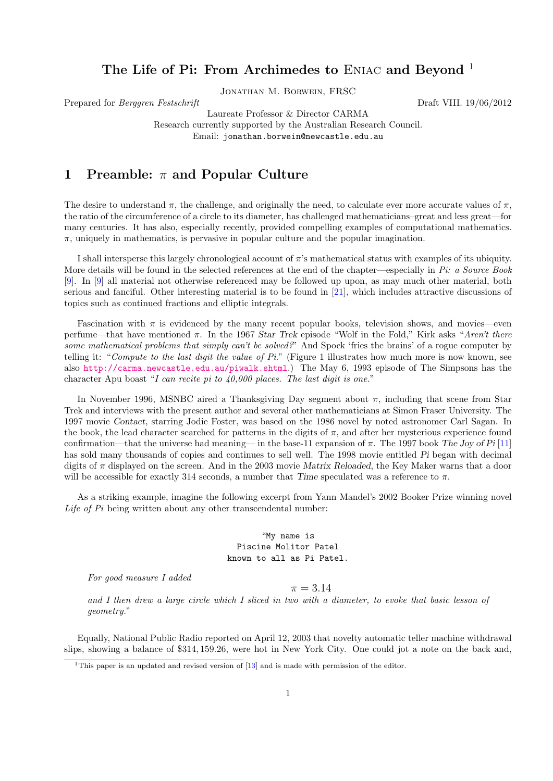## **The Life of Pi: From Archimedes to** Eniac **and Beyond** <sup>1</sup>

Jonathan M. Borwein, FRSC

Prepared for *Berggren Festschrift* Draft VIII. 19/06/2012

Laureate Professor & Director CARMA Research currently supported by the Australian Research Council. Email: jonathan.borwein@newcastle.edu.au

#### **1 Preamble:** *π* **and Popular Culture**

The desire to understand  $\pi$ , the challenge, and originally the need, to calculate ever more accurate values of  $\pi$ , the ratio of the circumference of a circle to its diameter, has challenged mathematicians–great and less great—for many centuries. It has also, especially recently, provided compelling examples of computational mathematics.  $\pi$ , uniquely in mathematics, is pervasive in popular culture and the popular imagination.

I shall intersperse this largely chronological account of *π*'s mathematical status with examples of its ubiquity. More details will be found in the selected references at the end of the chapter—especially in *Pi: a Source Book* [9]. In [9] all material not otherwise referenced may be followed up upon, as may much other material, both serious and fanciful. Other interesting material is to be found in [21], which includes attractive discussions of topics such as continued fractions and elliptic integrals.

Fascination with  $\pi$  is evidenced by the many recent popular books, television shows, and movies—even perfume—that have mentioned *π*. In the 1967 *Star Trek* episode "Wolf in the Fold," Kirk asks "*Aren't there some mathematical problems that simply can't be solved?*" And Spock 'fries the brains' of a rogue computer by telling it: "*Compute to the last digit the value of Pi*." (Figure 1 illustrates how much more is now known, see also http://carma.newcastle.edu.au/piwalk.shtml.) The May 6, 1993 episode of The Simpsons has the character Apu boast "*I can recite pi to 40,000 places. The last digit is one.*"

In November 1996, MSNBC aired a Thanksgiving Day segment about *π*, including that scene from Star Trek and interviews with the present author and several other mathematicians at Simon Fraser University. The 1997 movie *Contact*, starring Jodie Foster, was based on the 1986 novel by noted astronomer Carl Sagan. In the book, the lead character searched for patterns in the digits of  $\pi$ , and after her mysterious experience found confirmation—that the universe had meaning— in the base-11 expansion of *π*. The 1997 book *The Joy of Pi* [11] has sold many thousands of copies and continues to sell well. The 1998 movie entitled *Pi* began with decimal digits of *π* displayed on the screen. And in the 2003 movie *Matrix Reloaded*, the Key Maker warns that a door will be accessible for exactly 314 seconds, a number that *Time* speculated was a reference to  $\pi$ .

As a striking example, imagine the following excerpt from Yann Mandel's 2002 Booker Prize winning novel *Life of Pi* being written about any other transcendental number:

#### "My name is Piscine Molitor Patel known to all as Pi Patel.

*For good measure I added*

#### $\pi = 3.14$

*and I then drew a large circle which I sliced in two with a diameter, to evoke that basic lesson of geometry.*"

Equally, National Public Radio reported on April 12, 2003 that novelty automatic teller machine withdrawal slips, showing a balance of \$314*,* 159*.*26, were hot in New York City. One could jot a note on the back and,

<sup>&</sup>lt;sup>1</sup>This paper is an updated and revised version of  $[13]$  and is made with permission of the editor.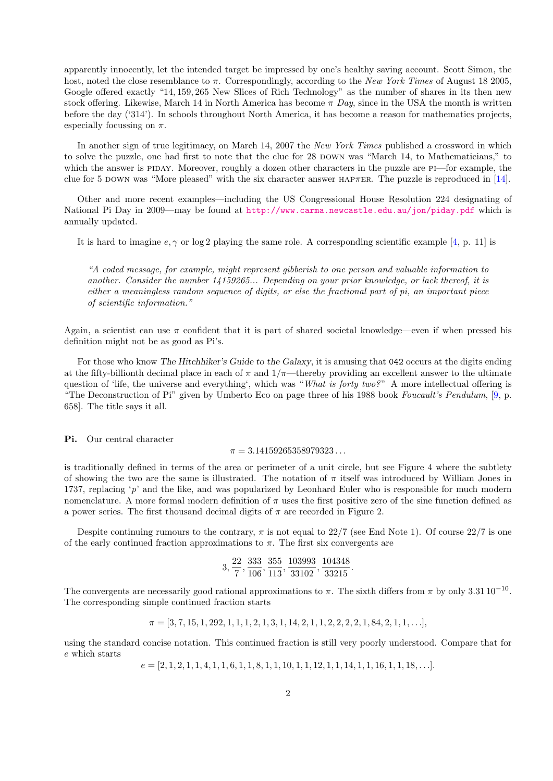apparently innocently, let the intended target be impressed by one's healthy saving account. Scott Simon, the host, noted the close resemblance to *π*. Correspondingly, according to the *New York Times* of August 18 2005, Google offered exactly "14*,* 159*,* 265 New Slices of Rich Technology" as the number of shares in its then new stock offering. Likewise, March 14 in North America has become *π Day*, since in the USA the month is written before the day ('314'). In schools throughout North America, it has become a reason for mathematics projects, especially focussing on *π*.

In another sign of true legitimacy, on March 14, 2007 the *New York Times* published a crossword in which to solve the puzzle, one had first to note that the clue for 28 DOWN was "March 14, to Mathematicians," to which the answer is PIDAY. Moreover, roughly a dozen other characters in the puzzle are PI—for example, the clue for 5 down was "More pleased" with the six character answer hap*π*er. The puzzle is reproduced in [14].

Other and more recent examples—including the US Congressional House Resolution 224 designating of National Pi Day in 2009—may be found at http://www.carma.newcastle.edu.au/jon/piday.pdf which is annually updated.

It is hard to imagine *e, γ* or log 2 playing the same role. A corresponding scientific example [4, p. 11] is

*"A coded message, for example, might represent gibberish to one person and valuable information to another. Consider the number 14159265... Depending on your prior knowledge, or lack thereof, it is either a meaningless random sequence of digits, or else the fractional part of pi, an important piece of scientific information."*

Again, a scientist can use *π* confident that it is part of shared societal knowledge—even if when pressed his definition might not be as good as Pi's.

For those who know *The Hitchhiker's Guide to the Galaxy*, it is amusing that 042 occurs at the digits ending at the fifty-billionth decimal place in each of  $\pi$  and  $1/\pi$ —thereby providing an excellent answer to the ultimate question of 'life, the universe and everything', which was "*What is forty two?* " A more intellectual offering is "The Deconstruction of Pi" given by Umberto Eco on page three of his 1988 book *Foucault's Pendulum*, [9, p. 658]. The title says it all.

**Pi.** Our central character

*π* = 3*.*14159265358979323 *. . .*

is traditionally defined in terms of the area or perimeter of a unit circle, but see Figure 4 where the subtlety of showing the two are the same is illustrated. The notation of  $\pi$  itself was introduced by William Jones in 1737, replacing '*p*' and the like, and was popularized by Leonhard Euler who is responsible for much modern nomenclature. A more formal modern definition of *π* uses the first positive zero of the sine function defined as a power series. The first thousand decimal digits of  $\pi$  are recorded in Figure 2.

Despite continuing rumours to the contrary,  $\pi$  is not equal to 22/7 (see End Note 1). Of course 22/7 is one of the early continued fraction approximations to  $\pi$ . The first six convergents are

$$
3,\frac{22}{7},\frac{333}{106},\frac{355}{113},\frac{103993}{33102},\frac{104348}{33215}.
$$

The convergents are necessarily good rational approximations to  $\pi$ . The sixth differs from  $\pi$  by only 3.31 10<sup>-10</sup>. The corresponding simple continued fraction starts

$$
\pi = [3, 7, 15, 1, 292, 1, 1, 1, 2, 1, 3, 1, 14, 2, 1, 1, 2, 2, 2, 2, 1, 84, 2, 1, 1, \ldots],
$$

using the standard concise notation. This continued fraction is still very poorly understood. Compare that for *e* which starts

 $e = [2, 1, 2, 1, 1, 4, 1, 1, 6, 1, 1, 8, 1, 1, 10, 1, 1, 12, 1, 1, 14, 1, 1, 16, 1, 1, 18, \ldots]$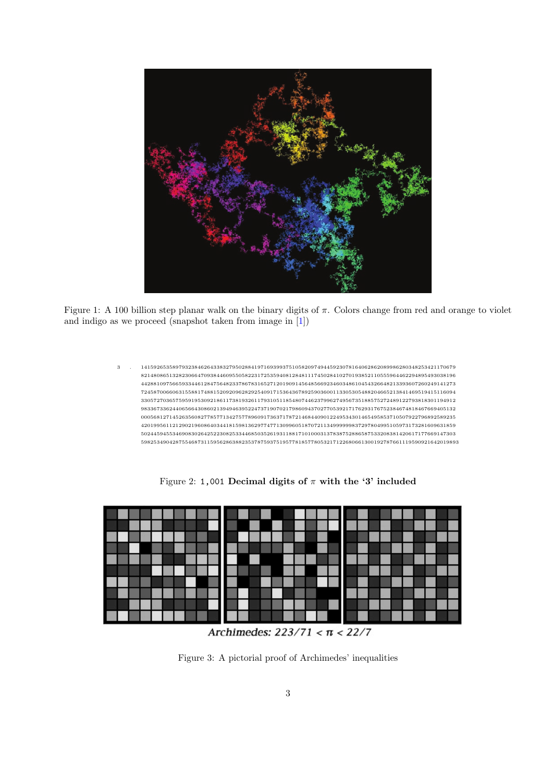

Figure 1: A 100 billion step planar walk on the binary digits of *π*. Colors change from red and orange to violet and indigo as we proceed (snapshot taken from image in  $[1]$ )

 *.* 1415926535897932384626433832795028841971693993751058209749445923078164062862089986280348253421170679  ${3305727036575959195309218611738193261179310511854807446237996274956735188575272489122793818301194912}$  



Figure 2: 1,001 **Decimal digits of** *π* **with the '3' included**

Figure 3: A pictorial proof of Archimedes' inequalities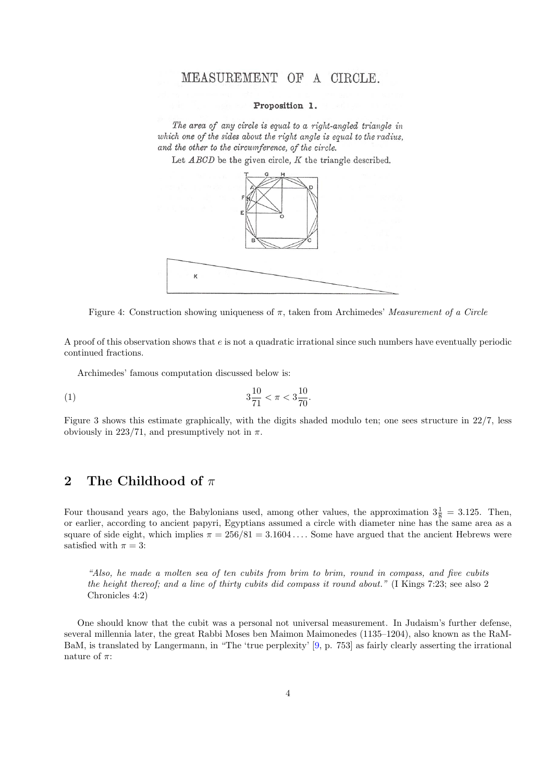# MEASUREMENT OF A CIRCLE.

#### Proposition 1.

The area of any circle is equal to a right-angled triangle in which one of the sides about the right angle is equal to the radius, and the other to the circumference, of the circle.

Let  $ABCD$  be the given circle,  $K$  the triangle described.



Figure 4: Construction showing uniqueness of *π*, taken from Archimedes' *Measurement of a Circle*

A proof of this observation shows that *e* is not a quadratic irrational since such numbers have eventually periodic continued fractions.

Archimedes' famous computation discussed below is:

(1) 
$$
3\frac{10}{71} < \pi < 3\frac{10}{70}.
$$

Figure 3 shows this estimate graphically, with the digits shaded modulo ten; one sees structure in 22/7, less obviously in 223/71, and presumptively not in  $\pi$ .

# **2 The Childhood of** *π*

Four thousand years ago, the Babylonians used, among other values, the approximation  $3\frac{1}{8}$  = 3.125. Then, or earlier, according to ancient papyri, Egyptians assumed a circle with diameter nine has the same area as a square of side eight, which implies  $\pi = 256/81 = 3.1604...$  Some have argued that the ancient Hebrews were satisfied with  $\pi = 3$ :

*"Also, he made a molten sea of ten cubits from brim to brim, round in compass, and five cubits the height thereof; and a line of thirty cubits did compass it round about."* (I Kings 7:23; see also 2 Chronicles 4:2)

One should know that the cubit was a personal not universal measurement. In Judaism's further defense, several millennia later, the great Rabbi Moses ben Maimon Maimonedes (1135–1204), also known as the RaM-BaM, is translated by Langermann, in "The 'true perplexity' [9, p. 753] as fairly clearly asserting the irrational nature of *π*: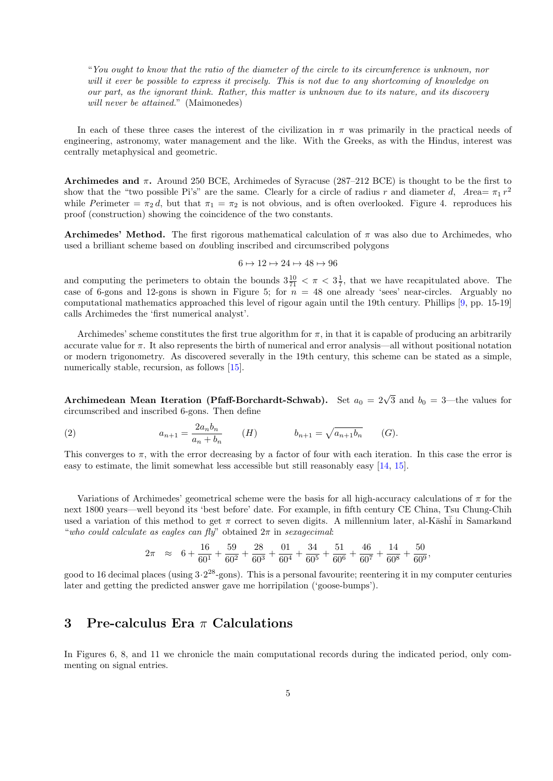"*You ought to know that the ratio of the diameter of the circle to its circumference is unknown, nor will it ever be possible to express it precisely. This is not due to any shortcoming of knowledge on our part, as the ignorant think. Rather, this matter is unknown due to its nature, and its discovery will never be attained.*" (Maimonedes)

In each of these three cases the interest of the civilization in  $\pi$  was primarily in the practical needs of engineering, astronomy, water management and the like. With the Greeks, as with the Hindus, interest was centrally metaphysical and geometric.

**Archimedes and** *π***.** Around 250 BCE, Archimedes of Syracuse (287–212 BCE) is thought to be the first to show that the "two possible Pi's" are the same. Clearly for a circle of radius *r* and diameter *d*,  $Area = \pi_1 r^2$ while *P*erimeter =  $\pi_2 d$ , but that  $\pi_1 = \pi_2$  is not obvious, and is often overlooked. Figure 4. reproduces his proof (construction) showing the coincidence of the two constants.

**Archimedes' Method.** The first rigorous mathematical calculation of *π* was also due to Archimedes, who used a brilliant scheme based on *d*oubling inscribed and circumscribed polygons

$$
6 \mapsto 12 \mapsto 24 \mapsto 48 \mapsto 96
$$

and computing the perimeters to obtain the bounds  $3\frac{10}{71} < \pi < 3\frac{1}{7}$ , that we have recapitulated above. The case of 6-gons and 12-gons is shown in Figure 5; for *n* = 48 one already 'sees' near-circles. Arguably no computational mathematics approached this level of rigour again until the 19th century. Phillips [9, pp. 15-19] calls Archimedes the 'first numerical analyst'.

Archimedes' scheme constitutes the first true algorithm for  $\pi$ , in that it is capable of producing an arbitrarily accurate value for  $\pi$ . It also represents the birth of numerical and error analysis—all without positional notation or modern trigonometry. As discovered severally in the 19th century, this scheme can be stated as a simple, numerically stable, recursion, as follows [15].

**Archimedean Mean Iteration (Pfaff-Borchardt-Schwab).** Set  $a_0 = 2\sqrt{3}$  and  $b_0 = 3$ —the values for circumscribed and inscribed 6-gons. Then define

(2) 
$$
a_{n+1} = \frac{2a_n b_n}{a_n + b_n} \qquad (H) \qquad b_{n+1} = \sqrt{a_{n+1} b_n} \qquad (G).
$$

This converges to  $\pi$ , with the error decreasing by a factor of four with each iteration. In this case the error is easy to estimate, the limit somewhat less accessible but still reasonably easy [14, 15].

Variations of Archimedes' geometrical scheme were the basis for all high-accuracy calculations of *π* for the next 1800 years—well beyond its 'best before' date. For example, in fifth century CE China, Tsu Chung-Chih used a variation of this method to get  $\pi$  correct to seven digits. A millennium later, al-K $\bar{a}$ sh $\bar{b}$  in Samarkand "*who could calculate as eagles can fly*" obtained 2*π* in *sexagecimal*:

$$
2\pi \approx 6 + \frac{16}{60^1} + \frac{59}{60^2} + \frac{28}{60^3} + \frac{01}{60^4} + \frac{34}{60^5} + \frac{51}{60^6} + \frac{46}{60^7} + \frac{14}{60^8} + \frac{50}{60^9},
$$

good to 16 decimal places (using 3*·*2 <sup>28</sup>-gons). This is a personal favourite; reentering it in my computer centuries later and getting the predicted answer gave me horripilation ('goose-bumps').

# **3 Pre-calculus Era** *π* **Calculations**

In Figures 6, 8, and 11 we chronicle the main computational records during the indicated period, only commenting on signal entries.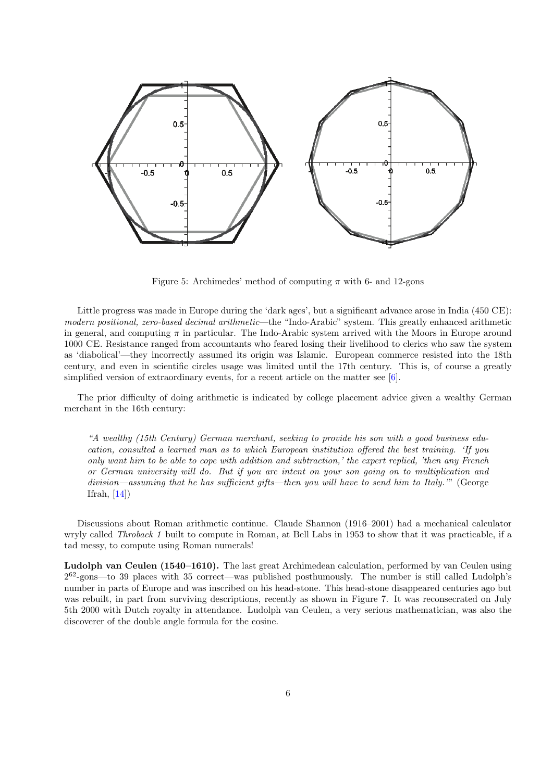

Figure 5: Archimedes' method of computing  $\pi$  with 6- and 12-gons

Little progress was made in Europe during the 'dark ages', but a significant advance arose in India (450 CE): *modern positional, zero-based decimal arithmetic*—the "Indo-Arabic" system. This greatly enhanced arithmetic in general, and computing *π* in particular. The Indo-Arabic system arrived with the Moors in Europe around 1000 CE. Resistance ranged from accountants who feared losing their livelihood to clerics who saw the system as 'diabolical'—they incorrectly assumed its origin was Islamic. European commerce resisted into the 18th century, and even in scientific circles usage was limited until the 17th century. This is, of course a greatly simplified version of extraordinary events, for a recent article on the matter see [6].

The prior difficulty of doing arithmetic is indicated by college placement advice given a wealthy German merchant in the 16th century:

*"A wealthy (15th Century) German merchant, seeking to provide his son with a good business education, consulted a learned man as to which European institution offered the best training. 'If you only want him to be able to cope with addition and subtraction,' the expert replied, 'then any French or German university will do. But if you are intent on your son going on to multiplication and division—assuming that he has sufficient gifts—then you will have to send him to Italy.'* " (George Ifrah, [14])

Discussions about Roman arithmetic continue. Claude Shannon (1916–2001) had a mechanical calculator wryly called *Throback 1* built to compute in Roman, at Bell Labs in 1953 to show that it was practicable, if a tad messy, to compute using Roman numerals!

**Ludolph van Ceulen (1540–1610).** The last great Archimedean calculation, performed by van Ceulen using 2 <sup>62</sup>-gons—to 39 places with 35 correct—was published posthumously. The number is still called Ludolph's number in parts of Europe and was inscribed on his head-stone. This head-stone disappeared centuries ago but was rebuilt, in part from surviving descriptions, recently as shown in Figure 7. It was reconsecrated on July 5th 2000 with Dutch royalty in attendance. Ludolph van Ceulen, a very serious mathematician, was also the discoverer of the double angle formula for the cosine.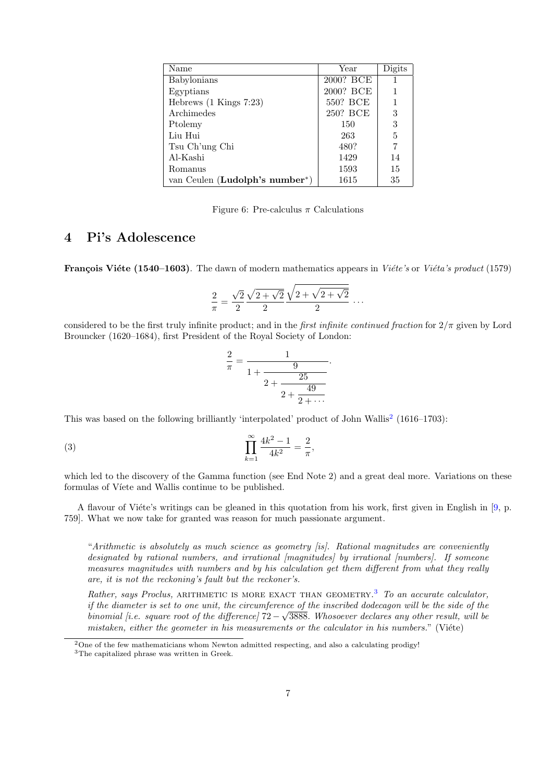| Name                           | Year      | Digits |
|--------------------------------|-----------|--------|
| Babylonians                    | 2000? BCE |        |
| Egyptians                      | 2000? BCE |        |
| Hebrews $(1$ Kings 7:23)       | 550? BCE  |        |
| Archimedes                     | 250? BCE  | 3      |
| Ptolemy                        | 150       | 3      |
| Liu Hui                        | 263       | 5      |
| Tsu Ch'ung Chi                 | 480?      | 7      |
| Al-Kashi                       | 1429      | 14     |
| Romanus                        | 1593      | 15     |
| van Ceulen (Ludolph's number*) | 1615      | 35     |

Figure 6: Pre-calculus *π* Calculations

#### **4 Pi's Adolescence**

**François Viéte (1540–1603)**. The dawn of modern mathematics appears in *Viéte's* or *Viéta's product* (1579)

$$
\frac{2}{\pi} = \frac{\sqrt{2}}{2} \frac{\sqrt{2 + \sqrt{2}}}{2} \frac{\sqrt{2 + \sqrt{2 + \sqrt{2}}}}{2} \cdots
$$

considered to be the first truly infinite product; and in the *first infinite continued fraction* for  $2/\pi$  given by Lord Brouncker (1620–1684), first President of the Royal Society of London:

$$
\frac{2}{\pi} = \frac{1}{1 + \frac{9}{2 + \frac{25}{2 + \frac{49}{2 + \dots}}}}.
$$

This was based on the following brilliantly 'interpolated' product of John Wallis<sup>2</sup> (1616–1703):

(3) 
$$
\prod_{k=1}^{\infty} \frac{4k^2 - 1}{4k^2} = \frac{2}{\pi},
$$

which led to the discovery of the Gamma function (see End Note 2) and a great deal more. Variations on these formulas of Víete and Wallis continue to be published.

A flavour of Viéte's writings can be gleaned in this quotation from his work, first given in English in  $[9, p.$ 759]. What we now take for granted was reason for much passionate argument.

"*Arithmetic is absolutely as much science as geometry [is]. Rational magnitudes are conveniently designated by rational numbers, and irrational [magnitudes] by irrational [numbers]. If someone measures magnitudes with numbers and by his calculation get them different from what they really are, it is not the reckoning's fault but the reckoner's.*

*Rather, says Proclus, ARITHMETIC IS MORE EXACT THAN GEOMETRY.*<sup>3</sup> *To an accurate calculator, if the diameter is set to one unit, the circumference of the inscribed dodecagon will be the side of the binomial [i.e. square root of the difference]* 72 *−* 3888*. Whosoever declares any other result, will be mistaken, either the geometer in his measurements or the calculator in his numbers.*" (Viéte)

<sup>&</sup>lt;sup>2</sup>One of the few mathematicians whom Newton admitted respecting, and also a calculating prodigy!

<sup>3</sup>The capitalized phrase was written in Greek.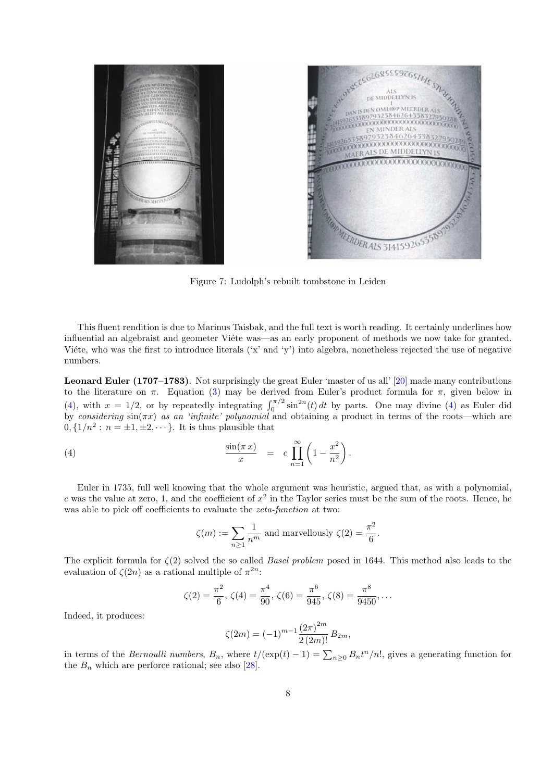

Figure 7: Ludolph's rebuilt tombstone in Leiden

This fluent rendition is due to Marinus Taisbak, and the full text is worth reading. It certainly underlines how influential an algebraist and geometer Viéte was—as an early proponent of methods we now take for granted. Viéte, who was the first to introduce literals ('x' and 'y') into algebra, nonetheless rejected the use of negative numbers.

**Leonard Euler (1707–1783)**. Not surprisingly the great Euler 'master of us all' [20] made many contributions to the literature on  $\pi$ . Equation (3) may be derived from Euler's product formula for  $\pi$ , given below in (4), with  $x = 1/2$ , or by repeatedly integrating  $\int_0^{\pi/2} \sin^{2n}(t) dt$  by parts. One may divine (4) as Euler did by *considering* sin(*πx*) *as an 'infinite' polynomial* and obtaining a product in terms of the roots—which are  $0, \{1/n^2 : n = \pm 1, \pm 2, \cdots\}$ . It is thus plausible that

(4) 
$$
\frac{\sin(\pi x)}{x} = c \prod_{n=1}^{\infty} \left(1 - \frac{x^2}{n^2}\right).
$$

Euler in 1735, full well knowing that the whole argument was heuristic, argued that, as with a polynomial, c was the value at zero, 1, and the coefficient of  $x^2$  in the Taylor series must be the sum of the roots. Hence, he was able to pick off coefficients to evaluate the *zeta-function* at two:

$$
\zeta(m) := \sum_{n \ge 1} \frac{1}{n^m}
$$
 and marvellously  $\zeta(2) = \frac{\pi^2}{6}$ .

The explicit formula for *ζ*(2) solved the so called *Basel problem* posed in 1644. This method also leads to the evaluation of  $\zeta(2n)$  as a rational multiple of  $\pi^{2n}$ :

$$
\zeta(2) = \frac{\pi^2}{6}, \zeta(4) = \frac{\pi^4}{90}, \zeta(6) = \frac{\pi^6}{945}, \zeta(8) = \frac{\pi^8}{9450}, \dots
$$

Indeed, it produces:

$$
\zeta(2m) = (-1)^{m-1} \frac{(2\pi)^{2m}}{2(2m)!} B_{2m},
$$

in terms of the *Bernoulli numbers*,  $B_n$ , where  $t/(\exp(t) - 1) = \sum_{n \geq 0} B_n t^n/n!$ , gives a generating function for the  $B_n$  which are perforce rational; see also [28].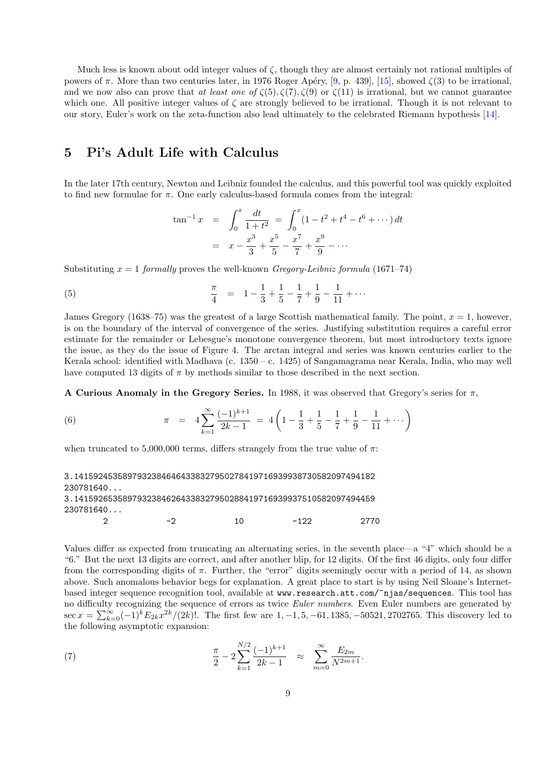Much less is known about odd integer values of *ζ*, though they are almost certainly not rational multiples of powers of π. More than two centuries later, in 1976 Roger Apéry, [9, p. 439], [15], showed  $\zeta(3)$  to be irrational, and we now also can prove that *at least one of*  $\zeta(5), \zeta(7), \zeta(9)$  or  $\zeta(11)$  is irrational, but we cannot guarantee which one. All positive integer values of *ζ* are strongly believed to be irrational. Though it is not relevant to our story, Euler's work on the zeta-function also lead ultimately to the celebrated Riemann hypothesis [14].

# **5 Pi's Adult Life with Calculus**

In the later 17th century, Newton and Leibniz founded the calculus, and this powerful tool was quickly exploited to find new formulae for *π*. One early calculus-based formula comes from the integral:

$$
\tan^{-1} x = \int_0^x \frac{dt}{1+t^2} = \int_0^x (1-t^2+t^4-t^6+\cdots) dt
$$
  
=  $x - \frac{x^3}{3} + \frac{x^5}{5} - \frac{x^7}{7} + \frac{x^9}{9} - \cdots$ 

Substituting *x* = 1 *formally* proves the well-known *Gregory-Leibniz formula* (1671–74)

(5) 
$$
\frac{\pi}{4} = 1 - \frac{1}{3} + \frac{1}{5} - \frac{1}{7} + \frac{1}{9} - \frac{1}{11} + \cdots
$$

James Gregory (1638–75) was the greatest of a large Scottish mathematical family. The point, *x* = 1, however, is on the boundary of the interval of convergence of the series. Justifying substitution requires a careful error estimate for the remainder or Lebesgue's monotone convergence theorem, but most introductory texts ignore the issue, as they do the issue of Figure 4. The arctan integral and series was known centuries earlier to the Kerala school: identified with Madhava (c. 1350 – c. 1425) of Sangamagrama near Kerala, India, who may well have computed 13 digits of  $\pi$  by methods similar to those described in the next section.

**A Curious Anomaly in the Gregory Series.** In 1988, it was observed that Gregory's series for *π*,

(6) 
$$
\pi = 4 \sum_{k=1}^{\infty} \frac{(-1)^{k+1}}{2k-1} = 4 \left( 1 - \frac{1}{3} + \frac{1}{5} - \frac{1}{7} + \frac{1}{9} - \frac{1}{11} + \cdots \right)
$$

when truncated to 5,000,000 terms, differs strangely from the true value of  $\pi$ :

#### 3.14159245358979323846464338327950278419716939938730582097494182 230781640 3.14159265358979323846264338327950288419716939937510582097494459 230781640...

2 -2 10 -122 2770

Values differ as expected from truncating an alternating series, in the seventh place—a "4" which should be a "6." But the next 13 digits are correct, and after another blip, for 12 digits. Of the first 46 digits, only four differ from the corresponding digits of  $\pi$ . Further, the "error" digits seemingly occur with a period of 14, as shown above. Such anomalous behavior begs for explanation. A great place to start is by using Neil Sloane's Internetbased integer sequence recognition tool, available at www.research.att.com/~njas/sequences. This tool has no difficulty recognizing the sequence of errors as twice *Euler numbers*. Even Euler numbers are generated by  $\sec x = \sum_{k=0}^{\infty} (-1)^k E_{2k} x^{2k} / (2k)!$ . The first few are 1, -1, 5, -61, 1385, -50521, 2702765. This discovery led to the following asymptotic expansion:

(7) 
$$
\frac{\pi}{2} - 2 \sum_{k=1}^{N/2} \frac{(-1)^{k+1}}{2k-1} \approx \sum_{m=0}^{\infty} \frac{E_{2m}}{N^{2m+1}}.
$$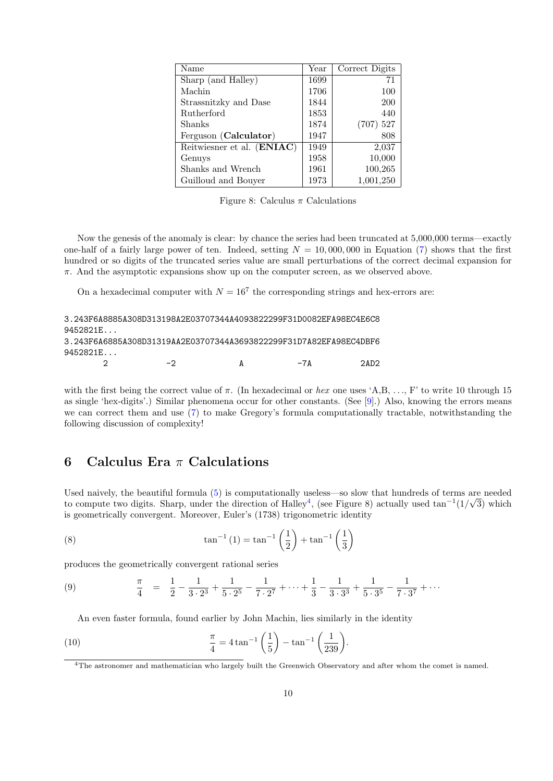| Name                       | Year | Correct Digits |
|----------------------------|------|----------------|
| Sharp (and Halley)         | 1699 | 71             |
| Machin                     | 1706 | 100            |
| Strassnitzky and Dase      | 1844 | <b>200</b>     |
| Rutherford                 | 1853 | 440            |
| Shanks                     | 1874 | (707) 527      |
| Ferguson (Calculator)      | 1947 | 808            |
| Reitwiesner et al. (ENIAC) | 1949 | 2,037          |
| Genuys                     | 1958 | 10,000         |
| Shanks and Wrench          | 1961 | 100,265        |
| Guilloud and Bouyer        | 1973 | 1,001,250      |

Figure 8: Calculus  $\pi$  Calculations

Now the genesis of the anomaly is clear: by chance the series had been truncated at 5,000,000 terms—exactly one-half of a fairly large power of ten. Indeed, setting  $N = 10,000,000$  in Equation (7) shows that the first hundred or so digits of the truncated series value are small perturbations of the correct decimal expansion for *π*. And the asymptotic expansions show up on the computer screen, as we observed above.

On a hexadecimal computer with  $N = 16<sup>7</sup>$  the corresponding strings and hex-errors are:

| 3.243F6A8885A308D313198A2E03707344A4093822299F31D0082EFA98EC4E6C8 |      |   |     |      |
|-------------------------------------------------------------------|------|---|-----|------|
| 9452821F                                                          |      |   |     |      |
| 3.243F6A6885A308D31319AA2E03707344A3693822299F31D7A82EFA98EC4DBF6 |      |   |     |      |
| 9452821F                                                          |      |   |     |      |
|                                                                   | $-2$ | Δ | –74 | 24D2 |

with the first being the correct value of *π*. (In hexadecimal or *hex* one uses 'A,B, *. . .*, F' to write 10 through 15 as single 'hex-digits'.) Similar phenomena occur for other constants. (See [9].) Also, knowing the errors means we can correct them and use (7) to make Gregory's formula computationally tractable, notwithstanding the following discussion of complexity!

## **6 Calculus Era** *π* **Calculations**

Used naively, the beautiful formula  $(5)$  is computationally useless—so slow that hundreds of terms are needed to compute two digits. Sharp, under the direction of Halley<sup>4</sup>, (see Figure 8) actually used tan<sup>-1</sup>(1/√3) which is geometrically convergent. Moreover, Euler's (1738) trigonometric identity

(8) 
$$
\tan^{-1}(1) = \tan^{-1}\left(\frac{1}{2}\right) + \tan^{-1}\left(\frac{1}{3}\right)
$$

produces the geometrically convergent rational series

(9) 
$$
\frac{\pi}{4} = \frac{1}{2} - \frac{1}{3 \cdot 2^3} + \frac{1}{5 \cdot 2^5} - \frac{1}{7 \cdot 2^7} + \dots + \frac{1}{3} - \frac{1}{3 \cdot 3^3} + \frac{1}{5 \cdot 3^5} - \frac{1}{7 \cdot 3^7} + \dots
$$

An even faster formula, found earlier by John Machin, lies similarly in the identity

(10) 
$$
\frac{\pi}{4} = 4 \tan^{-1} \left( \frac{1}{5} \right) - \tan^{-1} \left( \frac{1}{239} \right).
$$

<sup>4</sup>The astronomer and mathematician who largely built the Greenwich Observatory and after whom the comet is named.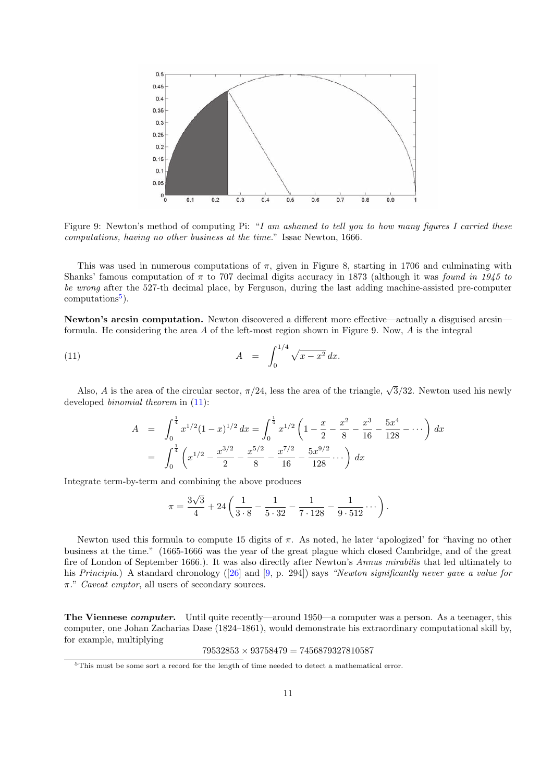

Figure 9: Newton's method of computing Pi: "*I am ashamed to tell you to how many figures I carried these computations, having no other business at the time.*" Issac Newton, 1666.

This was used in numerous computations of  $\pi$ , given in Figure 8, starting in 1706 and culminating with Shanks' famous computation of *π* to 707 decimal digits accuracy in 1873 (although it was *found in 1945 to be wrong* after the 527-th decimal place, by Ferguson, during the last adding machine-assisted pre-computer  $computations<sup>5</sup>$ ).

**Newton's arcsin computation.** Newton discovered a different more effective—actually a disguised arcsin formula. He considering the area *A* of the left-most region shown in Figure 9. Now, *A* is the integral

(11) 
$$
A = \int_0^{1/4} \sqrt{x - x^2} dx.
$$

Also, *A* is the area of the circular sector,  $\pi/24$ , less the area of the triangle,  $\sqrt{3}/32$ . Newton used his newly developed *binomial theorem* in (11):

$$
A = \int_0^{\frac{1}{4}} x^{1/2} (1-x)^{1/2} dx = \int_0^{\frac{1}{4}} x^{1/2} \left(1 - \frac{x}{2} - \frac{x^2}{8} - \frac{x^3}{16} - \frac{5x^4}{128} - \cdots \right) dx
$$
  
= 
$$
\int_0^{\frac{1}{4}} \left( x^{1/2} - \frac{x^{3/2}}{2} - \frac{x^{5/2}}{8} - \frac{x^{7/2}}{16} - \frac{5x^{9/2}}{128} \cdots \right) dx
$$

Integrate term-by-term and combining the above produces

$$
\pi = \frac{3\sqrt{3}}{4} + 24\left(\frac{1}{3\cdot 8} - \frac{1}{5\cdot 32} - \frac{1}{7\cdot 128} - \frac{1}{9\cdot 512} \cdots\right).
$$

Newton used this formula to compute 15 digits of *π*. As noted, he later 'apologized' for "having no other business at the time." (1665-1666 was the year of the great plague which closed Cambridge, and of the great fire of London of September 1666.). It was also directly after Newton's *Annus mirabilis* that led ultimately to his *Principia*.) A standard chronology ([26] and [9, p. 294]) says *"Newton significantly never gave a value for π.*" *Caveat emptor*, all users of secondary sources.

**The Viennese** *computer*. Until quite recently—around 1950—a computer was a person. As a teenager, this computer, one Johan Zacharias Dase (1824–1861), would demonstrate his extraordinary computational skill by, for example, multiplying

#### 79532853 *×* 93758479 = 7456879327810587

<sup>5</sup>This must be some sort a record for the length of time needed to detect a mathematical error.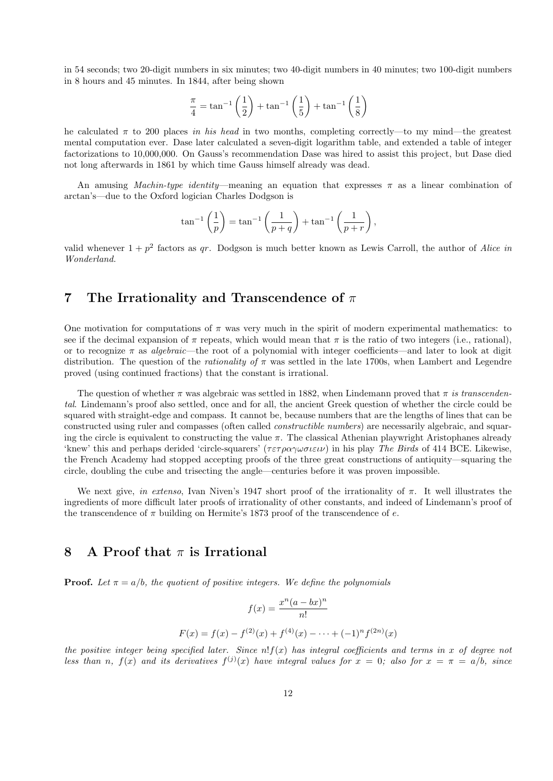in 54 seconds; two 20-digit numbers in six minutes; two 40-digit numbers in 40 minutes; two 100-digit numbers in 8 hours and 45 minutes. In 1844, after being shown

$$
\frac{\pi}{4} = \tan^{-1}\left(\frac{1}{2}\right) + \tan^{-1}\left(\frac{1}{5}\right) + \tan^{-1}\left(\frac{1}{8}\right)
$$

he calculated *π* to 200 places *in his head* in two months, completing correctly—to my mind—the greatest mental computation ever. Dase later calculated a seven-digit logarithm table, and extended a table of integer factorizations to 10,000,000. On Gauss's recommendation Dase was hired to assist this project, but Dase died not long afterwards in 1861 by which time Gauss himself already was dead.

An amusing *Machin-type identity*—meaning an equation that expresses *π* as a linear combination of arctan's—due to the Oxford logician Charles Dodgson is

$$
\tan^{-1}\left(\frac{1}{p}\right) = \tan^{-1}\left(\frac{1}{p+q}\right) + \tan^{-1}\left(\frac{1}{p+r}\right),\,
$$

valid whenever  $1 + p^2$  factors as qr. Dodgson is much better known as Lewis Carroll, the author of *Alice in Wonderland.*

#### **7 The Irrationality and Transcendence of** *π*

One motivation for computations of  $\pi$  was very much in the spirit of modern experimental mathematics: to see if the decimal expansion of  $\pi$  repeats, which would mean that  $\pi$  is the ratio of two integers (i.e., rational), or to recognize  $\pi$  as *algebraic*—the root of a polynomial with integer coefficients—and later to look at digit distribution. The question of the *rationality of*  $\pi$  was settled in the late 1700s, when Lambert and Legendre proved (using continued fractions) that the constant is irrational.

The question of whether *π* was algebraic was settled in 1882, when Lindemann proved that *π is transcendental*. Lindemann's proof also settled, once and for all, the ancient Greek question of whether the circle could be squared with straight-edge and compass. It cannot be, because numbers that are the lengths of lines that can be constructed using ruler and compasses (often called *constructible numbers*) are necessarily algebraic, and squaring the circle is equivalent to constructing the value *π*. The classical Athenian playwright Aristophanes already 'knew' this and perhaps derided 'circle-squarers' (*τετ ραγωσιειν*) in his play *The Birds* of 414 BCE. Likewise, the French Academy had stopped accepting proofs of the three great constructions of antiquity—squaring the circle, doubling the cube and trisecting the angle—centuries before it was proven impossible.

We next give, *in extenso*, Ivan Niven's 1947 short proof of the irrationality of *π*. It well illustrates the ingredients of more difficult later proofs of irrationality of other constants, and indeed of Lindemann's proof of the transcendence of *π* building on Hermite's 1873 proof of the transcendence of *e*.

#### **8 A Proof that** *π* **is Irrational**

**Proof.** Let  $\pi = a/b$ , the quotient of positive integers. We define the polynomials

$$
f(x) = \frac{x^n (a - bx)^n}{n!}
$$

$$
F(x) = f(x) - f^{(2)}(x) + f^{(4)}(x) - \dots + (-1)^n f^{(2n)}(x)
$$

*the positive integer being specified later. Since*  $n! f(x)$  *has integral coefficients and terms in*  $x$  *of degree not less than n*,  $f(x)$  *and its derivatives*  $f^{(j)}(x)$  *have integral values for*  $x = 0$ *; also for*  $x = \pi = a/b$ *, since*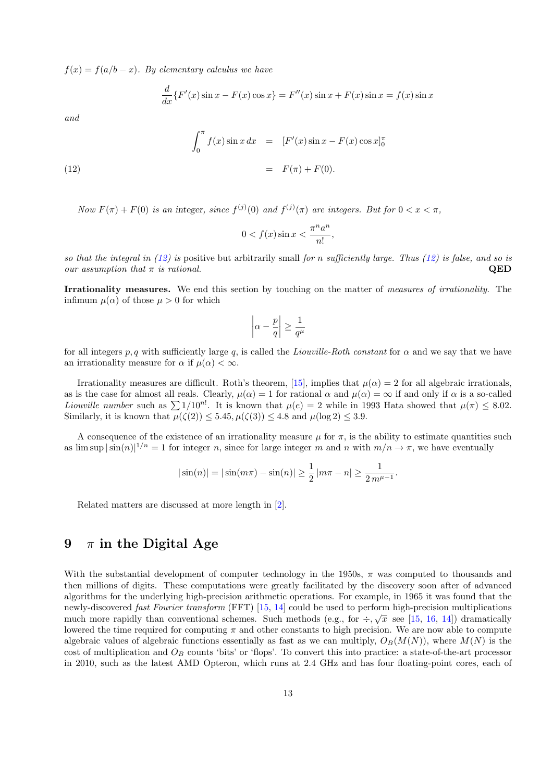$f(x) = f(a/b - x)$ *. By elementary calculus we have* 

$$
\frac{d}{dx}\left\{F'(x)\sin x - F(x)\cos x\right\} = F''(x)\sin x + F(x)\sin x = f(x)\sin x
$$

*and*

(12) 
$$
\int_0^{\pi} f(x) \sin x \, dx = [F'(x) \sin x - F(x) \cos x]_0^{\pi}
$$

$$
= F(\pi) + F(0).
$$

*Now*  $F(\pi) + F(0)$  *is an integer, since*  $f^{(j)}(0)$  *and*  $f^{(j)}(\pi)$  *are integers. But for*  $0 < x < \pi$ ,

$$
0 < f(x) \sin x < \frac{\pi^n a^n}{n!},
$$

*so that the integral in (12) is* positive but arbitrarily small *for n sufficiently large. Thus (12) is false, and so is our assumption that π is rational.* **QED**

**Irrationality measures.** We end this section by touching on the matter of *measures of irrationality*. The infimum  $\mu(\alpha)$  of those  $\mu > 0$  for which

$$
\left|\alpha-\frac{p}{q}\right|\geq \frac{1}{q^\mu}
$$

for all integers  $p, q$  with sufficiently large  $q$ , is called the *Liouville-Roth constant* for  $\alpha$  and we say that we have an irrationality measure for  $\alpha$  if  $\mu(\alpha) < \infty$ .

Irrationality measures are difficult. Roth's theorem, [15], implies that  $\mu(\alpha) = 2$  for all algebraic irrationals, as is the case for almost all reals. Clearly,  $\mu(\alpha) = 1$  for rational  $\alpha$  and  $\mu(\alpha) = \infty$  if and only if  $\alpha$  is a so-called *Liouville number* such as  $\sum 1/10^{n}$ . It is known that  $\mu(e) = 2$  while in 1993 Hata showed that  $\mu(\pi) \leq 8.02$ . Similarly, it is known that  $\mu(\zeta(2)) \leq 5.45, \mu(\zeta(3)) \leq 4.8$  and  $\mu(\log 2) \leq 3.9$ .

A consequence of the existence of an irrationality measure  $\mu$  for  $\pi$ , is the ability to estimate quantities such as  $\limsup |\sin(n)|^{1/n} = 1$  for integer *n*, since for large integer *m* and *n* with  $m/n \to \pi$ , we have eventually

$$
|\sin(n)| = |\sin(m\pi) - \sin(n)| \ge \frac{1}{2} |m\pi - n| \ge \frac{1}{2m^{\mu-1}}.
$$

Related matters are discussed at more length in [2].

## **9** *π* **in the Digital Age**

With the substantial development of computer technology in the 1950s,  $\pi$  was computed to thousands and then millions of digits. These computations were greatly facilitated by the discovery soon after of advanced algorithms for the underlying high-precision arithmetic operations. For example, in 1965 it was found that the newly-discovered *fast Fourier transform* (FFT) [15, 14] could be used to perform high-precision multiplications *√* much more rapidly than conventional schemes. Such methods (e.g., for  $\div$ ,  $\sqrt{x}$  see [15, 16, 14]) dramatically lowered the time required for computing *π* and other constants to high precision. We are now able to compute algebraic values of algebraic functions essentially as fast as we can multiply,  $O_B(M(N))$ , where  $M(N)$  is the cost of multiplication and *O<sup>B</sup>* counts 'bits' or 'flops'. To convert this into practice: a state-of-the-art processor in 2010, such as the latest AMD Opteron, which runs at 2.4 GHz and has four floating-point cores, each of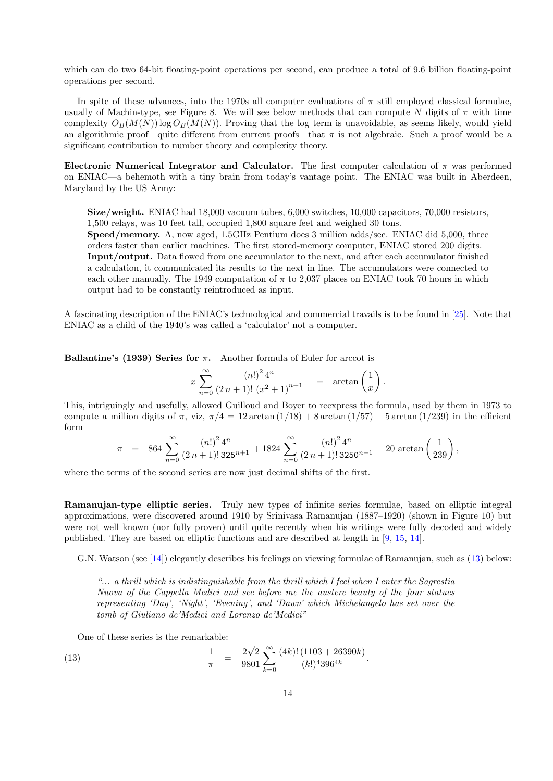which can do two 64-bit floating-point operations per second, can produce a total of 9.6 billion floating-point operations per second.

In spite of these advances, into the 1970s all computer evaluations of  $\pi$  still employed classical formulae, usually of Machin-type, see Figure 8. We will see below methods that can compute N digits of  $\pi$  with time complexity  $O_B(M(N))$  log  $O_B(M(N))$ . Proving that the log term is unavoidable, as seems likely, would yield an algorithmic proof—quite different from current proofs—that  $\pi$  is not algebraic. Such a proof would be a significant contribution to number theory and complexity theory.

**Electronic Numerical Integrator and Calculator.** The first computer calculation of *π* was performed on ENIAC—a behemoth with a tiny brain from today's vantage point. The ENIAC was built in Aberdeen, Maryland by the US Army:

**Size/weight.** ENIAC had 18,000 vacuum tubes, 6,000 switches, 10,000 capacitors, 70,000 resistors, 1,500 relays, was 10 feet tall, occupied 1,800 square feet and weighed 30 tons.

**Speed/memory.** A, now aged, 1.5GHz Pentium does 3 million adds/sec. ENIAC did 5,000, three orders faster than earlier machines. The first stored-memory computer, ENIAC stored 200 digits. **Input/output.** Data flowed from one accumulator to the next, and after each accumulator finished a calculation, it communicated its results to the next in line. The accumulators were connected to each other manually. The 1949 computation of  $\pi$  to 2,037 places on ENIAC took 70 hours in which output had to be constantly reintroduced as input.

A fascinating description of the ENIAC's technological and commercial travails is to be found in [25]. Note that ENIAC as a child of the 1940's was called a 'calculator' not a computer.

**Ballantine's (1939) Series for** *π***.** Another formula of Euler for arccot is

$$
x \sum_{n=0}^{\infty} \frac{(n!)^2 4^n}{(2n+1)!(x^2+1)^{n+1}} = \arctan\left(\frac{1}{x}\right).
$$

This, intriguingly and usefully, allowed Guilloud and Boyer to reexpress the formula, used by them in 1973 to compute a million digits of  $\pi$ , viz,  $\pi/4 = 12 \arctan(1/18) + 8 \arctan(1/57) - 5 \arctan(1/239)$  in the efficient form

$$
\pi = 864 \sum_{n=0}^{\infty} \frac{(n!)^2 4^n}{(2 n + 1)! 325^{n+1}} + 1824 \sum_{n=0}^{\infty} \frac{(n!)^2 4^n}{(2 n + 1)! 3250^{n+1}} - 20 \arctan\left(\frac{1}{239}\right),
$$

where the terms of the second series are now just decimal shifts of the first.

**Ramanujan-type elliptic series.** Truly new types of infinite series formulae, based on elliptic integral approximations, were discovered around 1910 by Srinivasa Ramanujan (1887–1920) (shown in Figure 10) but were not well known (nor fully proven) until quite recently when his writings were fully decoded and widely published. They are based on elliptic functions and are described at length in [9, 15, 14].

G.N. Watson (see [14]) elegantly describes his feelings on viewing formulae of Ramanujan, such as (13) below:

*"... a thrill which is indistinguishable from the thrill which I feel when I enter the Sagrestia Nuova of the Cappella Medici and see before me the austere beauty of the four statues representing 'Day', 'Night', 'Evening', and 'Dawn' which Michelangelo has set over the tomb of Giuliano de'Medici and Lorenzo de'Medici"*

One of these series is the remarkable:

(13) 
$$
\frac{1}{\pi} = \frac{2\sqrt{2}}{9801} \sum_{k=0}^{\infty} \frac{(4k)!(1103+26390k)}{(k!)^4 396^{4k}}.
$$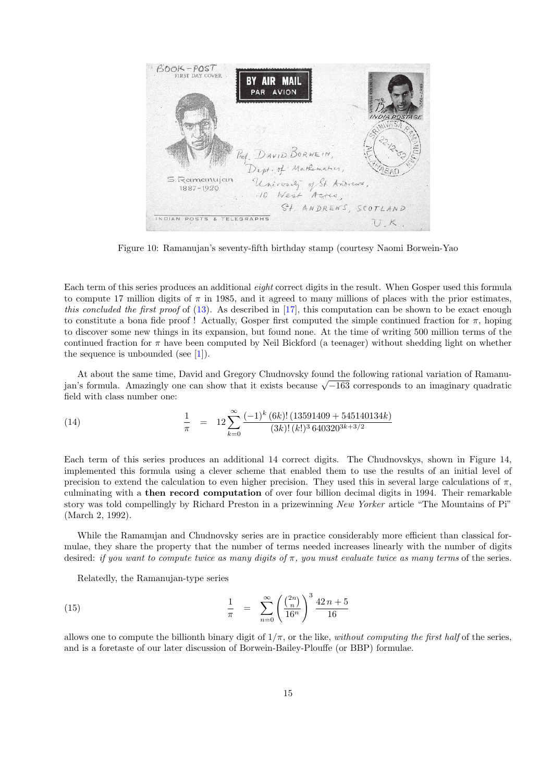

Figure 10: Ramanujan's seventy-fifth birthday stamp (courtesy Naomi Borwein-Yao

Each term of this series produces an additional *eight* correct digits in the result. When Gosper used this formula to compute 17 million digits of  $\pi$  in 1985, and it agreed to many millions of places with the prior estimates, *this concluded the first proof* of (13). As described in [17], this computation can be shown to be exact enough to constitute a bona fide proof ! Actually, Gosper first computed the simple continued fraction for  $\pi$ , hoping to discover some new things in its expansion, but found none. At the time of writing 500 million terms of the continued fraction for *π* have been computed by Neil Bickford (a teenager) without shedding light on whether the sequence is unbounded (see [1]).

At about the same time, David and Gregory Chudnovsky found the following rational variation of Ramanujan's formula. Amazingly one can show that it exists because *<sup>√</sup> −*163 corresponds to an imaginary quadratic field with class number one:

(14) 
$$
\frac{1}{\pi} = 12 \sum_{k=0}^{\infty} \frac{(-1)^k (6k)! (13591409 + 545140134k)}{(3k)! (k!)^3 640320^{3k+3/2}}
$$

Each term of this series produces an additional 14 correct digits. The Chudnovskys, shown in Figure 14, implemented this formula using a clever scheme that enabled them to use the results of an initial level of precision to extend the calculation to even higher precision. They used this in several large calculations of  $\pi$ , culminating with a **then record computation** of over four billion decimal digits in 1994. Their remarkable story was told compellingly by Richard Preston in a prizewinning *New Yorker* article "The Mountains of Pi" (March 2, 1992).

While the Ramanujan and Chudnovsky series are in practice considerably more efficient than classical formulae, they share the property that the number of terms needed increases linearly with the number of digits desired: *if you want to compute twice as many digits of π, you must evaluate twice as many terms* of the series.

Relatedly, the Ramanujan-type series

(15) 
$$
\frac{1}{\pi} = \sum_{n=0}^{\infty} \left( \frac{\binom{2n}{n}}{16^n} \right)^3 \frac{42 n + 5}{16}
$$

allows one to compute the billionth binary digit of  $1/\pi$ , or the like, *without computing the first half* of the series, and is a foretaste of our later discussion of Borwein-Bailey-Plouffe (or BBP) formulae.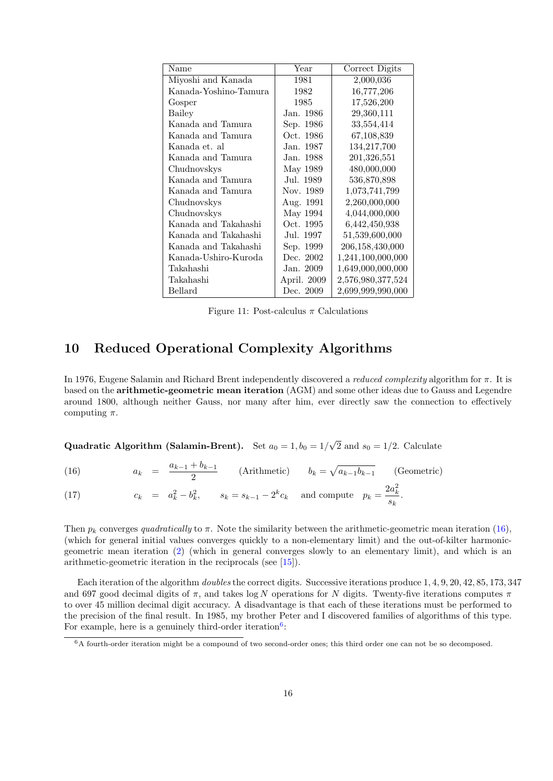| Name                  | Year        | Correct Digits    |
|-----------------------|-------------|-------------------|
| Miyoshi and Kanada    | 1981        | 2,000,036         |
| Kanada-Yoshino-Tamura | 1982        | 16,777,206        |
| Gosper                | 1985        | 17,526,200        |
| Bailey                | Jan. 1986   | 29,360,111        |
| Kanada and Tamura     | Sep. 1986   | 33,554,414        |
| Kanada and Tamura     | Oct. 1986   | 67,108,839        |
| Kanada et. al         | Jan. 1987   | 134,217,700       |
| Kanada and Tamura     | Jan. 1988   | 201,326,551       |
| Chudnovskys           | May 1989    | 480,000,000       |
| Kanada and Tamura     | Jul. 1989   | 536,870,898       |
| Kanada and Tamura     | Nov. 1989   | 1,073,741,799     |
| Chudnovskys           | Aug. 1991   | 2,260,000,000     |
| Chudnovskys           | May 1994    | 4,044,000,000     |
| Kanada and Takahashi  | Oct. 1995   | 6,442,450,938     |
| Kanada and Takahashi  | Jul. 1997   | 51,539,600,000    |
| Kanada and Takahashi  | Sep. 1999   | 206,158,430,000   |
| Kanada-Ushiro-Kuroda  | Dec. 2002   | 1,241,100,000,000 |
| Takahashi             | Jan. 2009   | 1,649,000,000,000 |
| Takahashi             | April. 2009 | 2,576,980,377,524 |
| Bellard               | Dec. 2009   | 2,699,999,990,000 |

Figure 11: Post-calculus *π* Calculations

#### **10 Reduced Operational Complexity Algorithms**

In 1976, Eugene Salamin and Richard Brent independently discovered a *reduced complexity* algorithm for *π*. It is based on the **arithmetic-geometric mean iteration** (AGM) and some other ideas due to Gauss and Legendre around 1800, although neither Gauss, nor many after him, ever directly saw the connection to effectively computing *π*.

**Quadratic Algorithm (Salamin-Brent).** Set  $a_0 = 1$ ,  $b_0 = 1/\sqrt{2}$  and  $s_0 = 1/2$ . Calculate

(16) 
$$
a_k = \frac{a_{k-1} + b_{k-1}}{2} \qquad \text{(Arithmetic)} \qquad b_k = \sqrt{a_{k-1}b_{k-1}} \qquad \text{(Geometric)}
$$

(17) 
$$
c_k = a_k^2 - b_k^2, \qquad s_k = s_{k-1} - 2^k c_k \quad \text{and compute} \quad p_k = \frac{2a_k^2}{s_k}.
$$

Then  $p_k$  converges *quadratically* to  $\pi$ . Note the similarity between the arithmetic-geometric mean iteration (16), (which for general initial values converges quickly to a non-elementary limit) and the out-of-kilter harmonicgeometric mean iteration (2) (which in general converges slowly to an elementary limit), and which is an arithmetic-geometric iteration in the reciprocals (see [15]).

Each iteration of the algorithm *doubles* the correct digits. Successive iterations produce 1*,* 4*,* 9*,* 20*,* 42*,* 85*,* 173*,* 347 and 697 good decimal digits of  $\pi$ , and takes log N operations for N digits. Twenty-five iterations computes  $\pi$ to over 45 million decimal digit accuracy. A disadvantage is that each of these iterations must be performed to the precision of the final result. In 1985, my brother Peter and I discovered families of algorithms of this type. For example, here is a genuinely third-order iteration<sup>6</sup>:

<sup>6</sup>A fourth-order iteration might be a compound of two second-order ones; this third order one can not be so decomposed.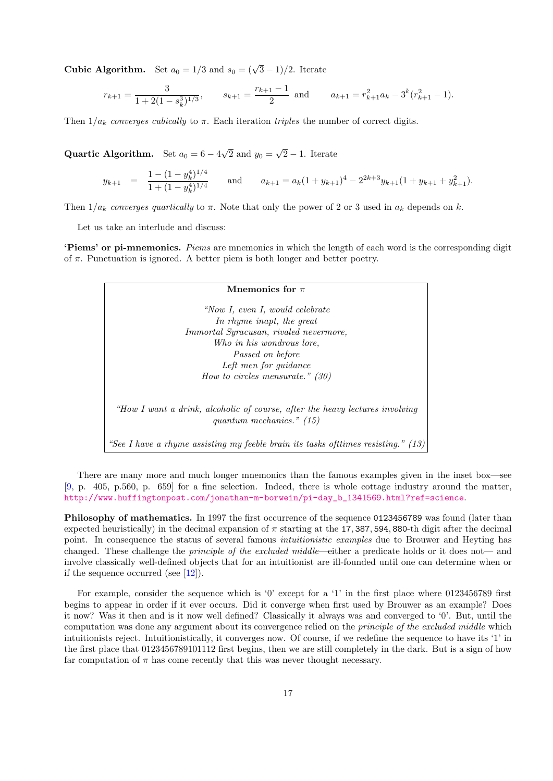**Cubic Algorithm.** Set  $a_0 = 1/3$  and  $s_0 = (\sqrt{3} - 1)/2$ . Iterate

$$
r_{k+1} = \frac{3}{1 + 2(1 - s_k^3)^{1/3}},
$$
  $s_{k+1} = \frac{r_{k+1} - 1}{2}$  and  $a_{k+1} = r_{k+1}^2 a_k - 3^k (r_{k+1}^2 - 1).$ 

Then  $1/a_k$  *converges cubically* to  $\pi$ . Each iteration *triples* the number of correct digits.

**Quartic Algorithm.** Set  $a_0 = 6 - 4\sqrt{2}$  and  $y_0 = \sqrt{2} - 1$ . Iterate

$$
y_{k+1} = \frac{1 - (1 - y_k^4)^{1/4}}{1 + (1 - y_k^4)^{1/4}} \quad \text{and} \quad a_{k+1} = a_k (1 + y_{k+1})^4 - 2^{2k+3} y_{k+1} (1 + y_{k+1} + y_{k+1}^2).
$$

Then  $1/a_k$  *converges quartically* to  $\pi$ . Note that only the power of 2 or 3 used in  $a_k$  depends on k.

Let us take an interlude and discuss:

**'Piems' or pi-mnemonics.** *Piems* are mnemonics in which the length of each word is the corresponding digit of  $\pi$ . Punctuation is ignored. A better piem is both longer and better poetry.

# **Mnemonics for** *π "Now I, even I, would celebrate In rhyme inapt, the great Immortal Syracusan, rivaled nevermore, Who in his wondrous lore, Passed on before Left men for guidance How to circles mensurate." (30) "How I want a drink, alcoholic of course, after the heavy lectures involving quantum mechanics." (15) "See I have a rhyme assisting my feeble brain its tasks ofttimes resisting." (13)*

There are many more and much longer mnemonics than the famous examples given in the inset box—see [9, p. 405, p.560, p. 659] for a fine selection. Indeed, there is whole cottage industry around the matter, http://www.huffingtonpost.com/jonathan-m-borwein/pi-day\_b\_1341569.html?ref=science.

**Philosophy of mathematics.** In 1997 the first occurrence of the sequence 0123456789 was found (later than expected heuristically) in the decimal expansion of *π* starting at the 17*,* 387*,* 594*,* 880-th digit after the decimal point. In consequence the status of several famous *intuitionistic examples* due to Brouwer and Heyting has changed. These challenge the *principle of the excluded middle*—either a predicate holds or it does not— and involve classically well-defined objects that for an intuitionist are ill-founded until one can determine when or if the sequence occurred (see [12]).

For example, consider the sequence which is '0' except for a '1' in the first place where 0123456789 first begins to appear in order if it ever occurs. Did it converge when first used by Brouwer as an example? Does it now? Was it then and is it now well defined? Classically it always was and converged to '0'. But, until the computation was done any argument about its convergence relied on the *principle of the excluded middle* which intuitionists reject. Intuitionistically, it converges now. Of course, if we redefine the sequence to have its '1' in the first place that 0123456789101112 first begins, then we are still completely in the dark. But is a sign of how far computation of  $\pi$  has come recently that this was never thought necessary.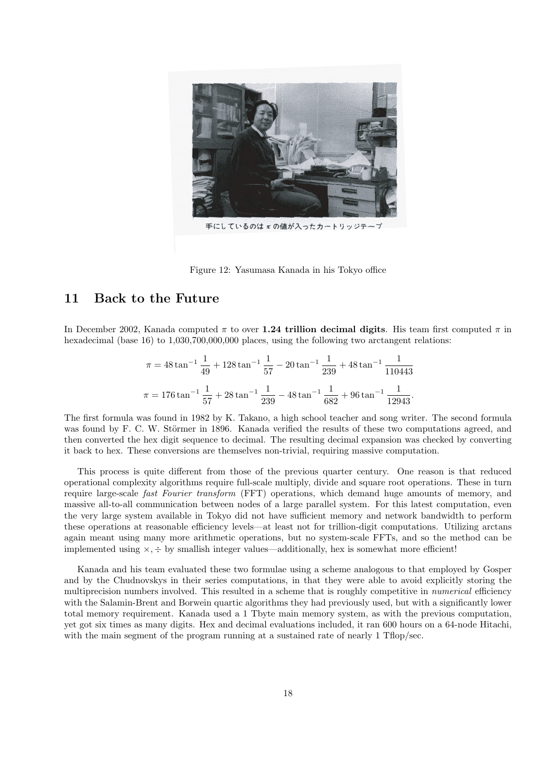

Figure 12: Yasumasa Kanada in his Tokyo office

#### **11 Back to the Future**

In December 2002, Kanada computed  $\pi$  to over **1.24 trillion decimal digits**. His team first computed  $\pi$  in hexadecimal (base 16) to 1,030,700,000,000 places, using the following two arctangent relations:

$$
\pi = 48 \tan^{-1} \frac{1}{49} + 128 \tan^{-1} \frac{1}{57} - 20 \tan^{-1} \frac{1}{239} + 48 \tan^{-1} \frac{1}{110443}
$$

$$
\pi = 176 \tan^{-1} \frac{1}{57} + 28 \tan^{-1} \frac{1}{239} - 48 \tan^{-1} \frac{1}{682} + 96 \tan^{-1} \frac{1}{12943}.
$$

The first formula was found in 1982 by K. Takano, a high school teacher and song writer. The second formula was found by F. C. W. Störmer in 1896. Kanada verified the results of these two computations agreed, and then converted the hex digit sequence to decimal. The resulting decimal expansion was checked by converting it back to hex. These conversions are themselves non-trivial, requiring massive computation.

This process is quite different from those of the previous quarter century. One reason is that reduced operational complexity algorithms require full-scale multiply, divide and square root operations. These in turn require large-scale *fast Fourier transform* (FFT) operations, which demand huge amounts of memory, and massive all-to-all communication between nodes of a large parallel system. For this latest computation, even the very large system available in Tokyo did not have sufficient memory and network bandwidth to perform these operations at reasonable efficiency levels—at least not for trillion-digit computations. Utilizing arctans again meant using many more arithmetic operations, but no system-scale FFTs, and so the method can be implemented using  $\times$ ,  $\div$  by smallish integer values—additionally, hex is somewhat more efficient!

Kanada and his team evaluated these two formulae using a scheme analogous to that employed by Gosper and by the Chudnovskys in their series computations, in that they were able to avoid explicitly storing the multiprecision numbers involved. This resulted in a scheme that is roughly competitive in *numerical* efficiency with the Salamin-Brent and Borwein quartic algorithms they had previously used, but with a significantly lower total memory requirement. Kanada used a 1 Tbyte main memory system, as with the previous computation, yet got six times as many digits. Hex and decimal evaluations included, it ran 600 hours on a 64-node Hitachi, with the main segment of the program running at a sustained rate of nearly 1 Tflop/sec.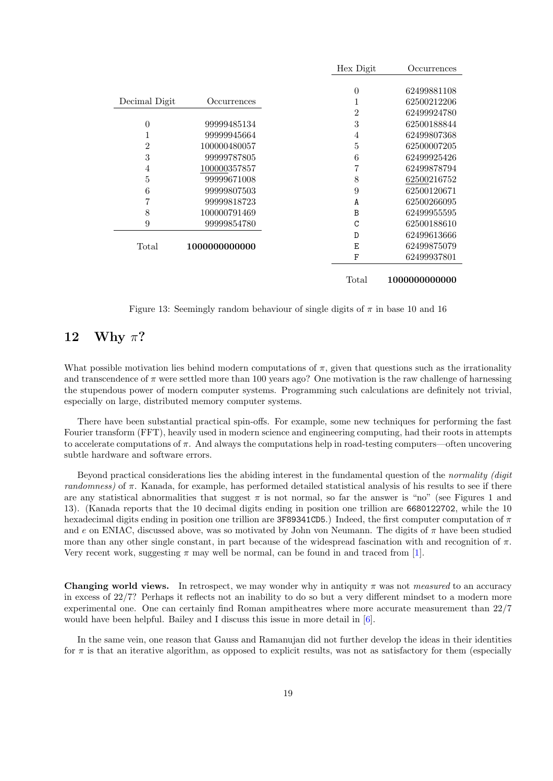|                |               | Hex Digit        | Occurrences   |
|----------------|---------------|------------------|---------------|
|                |               |                  |               |
|                |               | $\boldsymbol{0}$ | 62499881108   |
| Decimal Digit  | Occurrences   | 1                | 62500212206   |
|                |               | $\overline{2}$   | 62499924780   |
| $\theta$       | 99999485134   | 3                | 62500188844   |
| 1              | 99999945664   | 4                | 62499807368   |
| $\overline{2}$ | 100000480057  | 5                | 62500007205   |
| 3              | 99999787805   | $\overline{6}$   | 62499925426   |
| 4              | 100000357857  | 7                | 62499878794   |
| 5              | 99999671008   | 8                | 62500216752   |
| 6              | 99999807503   | 9                | 62500120671   |
| 7              | 99999818723   | A                | 62500266095   |
| 8              | 100000791469  | B                | 62499955595   |
| 9              | 99999854780   | C                | 62500188610   |
|                |               | D                | 62499613666   |
| Total          | 1000000000000 | Ε                | 62499875079   |
|                |               | F                | 62499937801   |
|                |               |                  |               |
|                |               | Total            | 1000000000000 |

Figure 13: Seemingly random behaviour of single digits of  $\pi$  in base 10 and 16

#### **12 Why** *π***?**

What possible motivation lies behind modern computations of  $\pi$ , given that questions such as the irrationality and transcendence of  $\pi$  were settled more than 100 years ago? One motivation is the raw challenge of harnessing the stupendous power of modern computer systems. Programming such calculations are definitely not trivial, especially on large, distributed memory computer systems.

There have been substantial practical spin-offs. For example, some new techniques for performing the fast Fourier transform (FFT), heavily used in modern science and engineering computing, had their roots in attempts to accelerate computations of *π*. And always the computations help in road-testing computers—often uncovering subtle hardware and software errors.

Beyond practical considerations lies the abiding interest in the fundamental question of the *normality (digit randomness)* of *π*. Kanada, for example, has performed detailed statistical analysis of his results to see if there are any statistical abnormalities that suggest  $\pi$  is not normal, so far the answer is "no" (see Figures 1 and 13). (Kanada reports that the 10 decimal digits ending in position one trillion are 6680122702, while the 10 hexadecimal digits ending in position one trillion are 3F89341CD5.) Indeed, the first computer computation of *π* and *e* on ENIAC, discussed above, was so motivated by John von Neumann. The digits of *π* have been studied more than any other single constant, in part because of the widespread fascination with and recognition of  $π$ . Very recent work, suggesting  $\pi$  may well be normal, can be found in and traced from [1].

**Changing world views.** In retrospect, we may wonder why in antiquity  $\pi$  was not *measured* to an accuracy in excess of 22*/*7? Perhaps it reflects not an inability to do so but a very different mindset to a modern more experimental one. One can certainly find Roman ampitheatres where more accurate measurement than 22*/*7 would have been helpful. Bailey and I discuss this issue in more detail in [6].

In the same vein, one reason that Gauss and Ramanujan did not further develop the ideas in their identities for *π* is that an iterative algorithm, as opposed to explicit results, was not as satisfactory for them (especially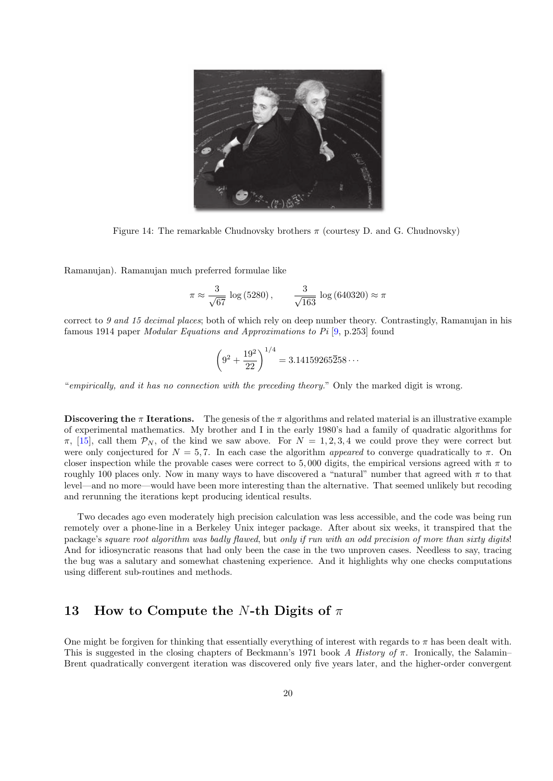

Figure 14: The remarkable Chudnovsky brothers *π* (courtesy D. and G. Chudnovsky)

Ramanujan). Ramanujan much preferred formulae like

$$
\pi \approx \frac{3}{\sqrt{67}} \log \left(5280\right), \qquad \frac{3}{\sqrt{163}} \log \left(640320\right) \approx \pi
$$

correct to *9 and 15 decimal places*; both of which rely on deep number theory. Contrastingly, Ramanujan in his famous 1914 paper *Modular Equations and Approximations to Pi* [9, p.253] found

$$
\left(9^2 + \frac{19^2}{22}\right)^{1/4} = 3.14159265\overline{2}58\cdots
$$

"*empirically, and it has no connection with the preceding theory.*" Only the marked digit is wrong.

**Discovering the**  $\pi$  **Iterations.** The genesis of the  $\pi$  algorithms and related material is an illustrative example of experimental mathematics. My brother and I in the early 1980's had a family of quadratic algorithms for  $\pi$ , [15], call them  $\mathcal{P}_N$ , of the kind we saw above. For  $N = 1, 2, 3, 4$  we could prove they were correct but were only conjectured for  $N = 5, 7$ . In each case the algorithm *appeared* to converge quadratically to  $\pi$ . On closer inspection while the provable cases were correct to 5,000 digits, the empirical versions agreed with  $\pi$  to roughly 100 places only. Now in many ways to have discovered a "natural" number that agreed with  $\pi$  to that level—and no more—would have been more interesting than the alternative. That seemed unlikely but recoding and rerunning the iterations kept producing identical results.

Two decades ago even moderately high precision calculation was less accessible, and the code was being run remotely over a phone-line in a Berkeley Unix integer package. After about six weeks, it transpired that the package's *square root algorithm was badly flawed*, but *only if run with an odd precision of more than sixty digits*! And for idiosyncratic reasons that had only been the case in the two unproven cases. Needless to say, tracing the bug was a salutary and somewhat chastening experience. And it highlights why one checks computations using different sub-routines and methods.

#### **13 How to Compute the** *N***-th Digits of** *π*

One might be forgiven for thinking that essentially everything of interest with regards to *π* has been dealt with. This is suggested in the closing chapters of Beckmann's 1971 book *A History of π*. Ironically, the Salamin– Brent quadratically convergent iteration was discovered only five years later, and the higher-order convergent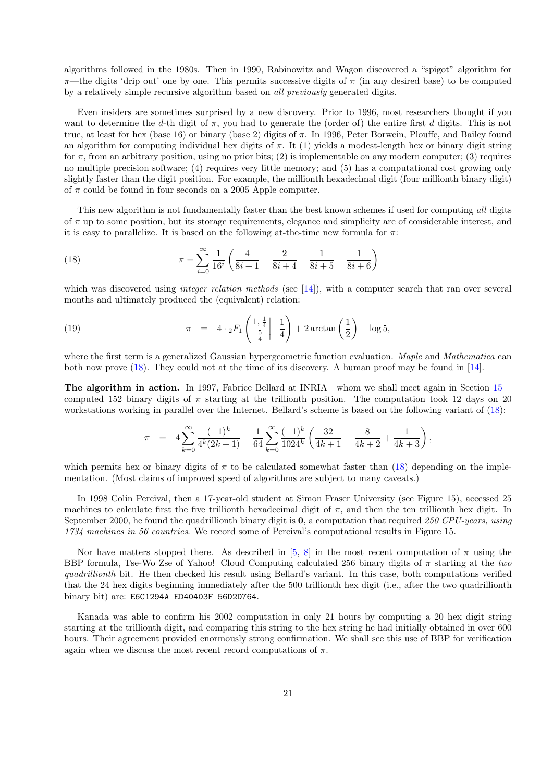algorithms followed in the 1980s. Then in 1990, Rabinowitz and Wagon discovered a "spigot" algorithm for *π*—the digits 'drip out' one by one. This permits successive digits of *π* (in any desired base) to be computed by a relatively simple recursive algorithm based on *all previously* generated digits.

Even insiders are sometimes surprised by a new discovery. Prior to 1996, most researchers thought if you want to determine the *d*-th digit of  $\pi$ , you had to generate the (order of) the entire first *d* digits. This is not true, at least for hex (base 16) or binary (base 2) digits of *π*. In 1996, Peter Borwein, Plouffe, and Bailey found an algorithm for computing individual hex digits of  $\pi$ . It (1) yields a modest-length hex or binary digit string for  $\pi$ , from an arbitrary position, using no prior bits; (2) is implementable on any modern computer; (3) requires no multiple precision software; (4) requires very little memory; and (5) has a computational cost growing only slightly faster than the digit position. For example, the millionth hexadecimal digit (four millionth binary digit) of *π* could be found in four seconds on a 2005 Apple computer.

This new algorithm is not fundamentally faster than the best known schemes if used for computing *all* digits of *π* up to some position, but its storage requirements, elegance and simplicity are of considerable interest, and it is easy to parallelize. It is based on the following at-the-time new formula for *π*:

(18) 
$$
\pi = \sum_{i=0}^{\infty} \frac{1}{16^i} \left( \frac{4}{8i+1} - \frac{2}{8i+4} - \frac{1}{8i+5} - \frac{1}{8i+6} \right)
$$

which was discovered using *integer relation methods* (see [14]), with a computer search that ran over several months and ultimately produced the (equivalent) relation:

(19) 
$$
\pi = 4 \cdot {}_{2}F_{1}\left(\frac{1, \frac{1}{4}}{\frac{5}{4}} \middle| -\frac{1}{4}\right) + 2\arctan\left(\frac{1}{2}\right) - \log 5,
$$

where the first term is a generalized Gaussian hypergeometric function evaluation. *Maple* and *Mathematica* can both now prove (18). They could not at the time of its discovery. A human proof may be found in [14].

**The algorithm in action.** In 1997, Fabrice Bellard at INRIA—whom we shall meet again in Section 15 computed 152 binary digits of  $\pi$  starting at the trillionth position. The computation took 12 days on 20 workstations working in parallel over the Internet. Bellard's scheme is based on the following variant of (18):

$$
\pi \;\; = \;\; 4 \sum_{k=0}^\infty \frac{(-1)^k}{4^k (2k+1)} - \frac{1}{64} \sum_{k=0}^\infty \frac{(-1)^k}{1024^k} \left( \frac{32}{4k+1} + \frac{8}{4k+2} + \frac{1}{4k+3} \right),
$$

which permits hex or binary digits of  $\pi$  to be calculated somewhat faster than (18) depending on the implementation. (Most claims of improved speed of algorithms are subject to many caveats.)

In 1998 Colin Percival, then a 17-year-old student at Simon Fraser University (see Figure 15), accessed 25 machines to calculate first the five trillionth hexadecimal digit of *π*, and then the ten trillionth hex digit. In September 2000, he found the quadrillionth binary digit is **0**, a computation that required *250 CPU-years, using 1734 machines in 56 countries*. We record some of Percival's computational results in Figure 15.

Nor have matters stopped there. As described in  $[5, 8]$  in the most recent computation of  $\pi$  using the BBP formula, Tse-Wo Zse of Yahoo! Cloud Computing calculated 256 binary digits of *π* starting at the *two quadrillionth* bit. He then checked his result using Bellard's variant. In this case, both computations verified that the 24 hex digits beginning immediately after the 500 trillionth hex digit (i.e., after the two quadrillionth binary bit) are: E6C1294A ED40403F 56D2D764.

Kanada was able to confirm his 2002 computation in only 21 hours by computing a 20 hex digit string starting at the trillionth digit, and comparing this string to the hex string he had initially obtained in over 600 hours. Their agreement provided enormously strong confirmation. We shall see this use of BBP for verification again when we discuss the most recent record computations of  $\pi$ .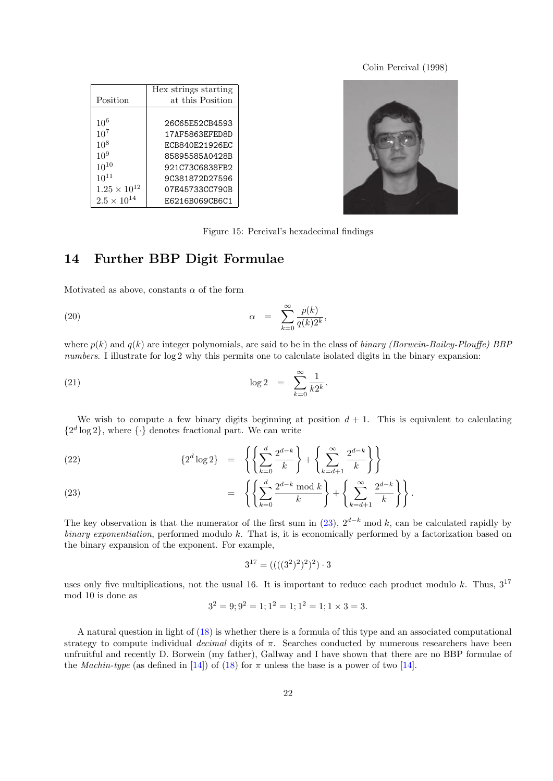Colin Percival (1998)

|                       | Hex strings starting |
|-----------------------|----------------------|
| Position              | at this Position     |
|                       |                      |
| $10^{6}$              | 26C65E52CB4593       |
| $10^{7}$              | 17AF5863EFED8D       |
| $10^{8}$              | ECB840E21926EC       |
| $10^{9}$              | 85895585A0428B       |
| $10^{10}$             | 921C73C6838FB2       |
| $10^{11}$             | 9C381872D27596       |
| $1.25 \times 10^{12}$ | 07E45733CC790B       |
| $2.5 \times 10^{14}$  | E6216B069CB6C1       |



Figure 15: Percival's hexadecimal findings

## **14 Further BBP Digit Formulae**

Motivated as above, constants  $\alpha$  of the form

(20) 
$$
\alpha = \sum_{k=0}^{\infty} \frac{p(k)}{q(k)2^k},
$$

where *p*(*k*) and *q*(*k*) are integer polynomials, are said to be in the class of *binary (Borwein-Bailey-Plouffe) BBP numbers*. I illustrate for log 2 why this permits one to calculate isolated digits in the binary expansion:

(21) 
$$
\log 2 = \sum_{k=0}^{\infty} \frac{1}{k2^k}.
$$

We wish to compute a few binary digits beginning at position  $d + 1$ . This is equivalent to calculating  $\{2^d \log 2\}$ , where  $\{\cdot\}$  denotes fractional part. We can write

(22) 
$$
\{2^d \log 2\} = \left\{ \left\{ \sum_{k=0}^d \frac{2^{d-k}}{k} \right\} + \left\{ \sum_{k=d+1}^\infty \frac{2^{d-k}}{k} \right\} \right\}
$$

(23) 
$$
= \left\{ \left\{ \sum_{k=0}^{d} \frac{2^{d-k} \mod k}{k} \right\} + \left\{ \sum_{k=d+1}^{\infty} \frac{2^{d-k}}{k} \right\} \right\}.
$$

The key observation is that the numerator of the first sum in  $(23)$ ,  $2^{d-k}$  mod *k*, can be calculated rapidly by *binary exponentiation*, performed modulo k. That is, it is economically performed by a factorization based on the binary expansion of the exponent. For example,

$$
3^{17} = (((3^2)^2)^2)^2) \cdot 3
$$

uses only five multiplications, not the usual 16. It is important to reduce each product modulo *k*. Thus, 3<sup>17</sup> mod 10 is done as

$$
32 = 9
$$
;  $92 = 1$ ;  $12 = 1$ ;  $12 = 1$ ;  $1 \times 3 = 3$ .

A natural question in light of (18) is whether there is a formula of this type and an associated computational strategy to compute individual *decimal* digits of *π*. Searches conducted by numerous researchers have been unfruitful and recently D. Borwein (my father), Gallway and I have shown that there are no BBP formulae of the *Machin-type* (as defined in [14]) of (18) for  $\pi$  unless the base is a power of two [14].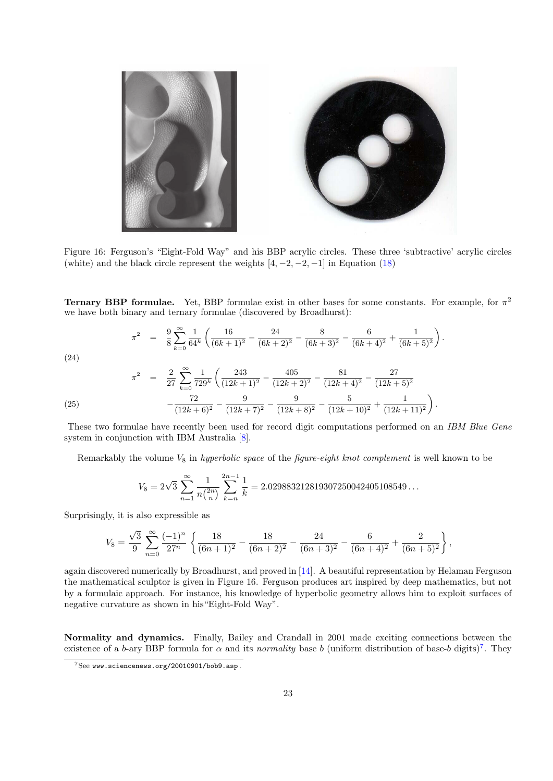

Figure 16: Ferguson's "Eight-Fold Way" and his BBP acrylic circles. These three 'subtractive' acrylic circles (white) and the black circle represent the weights  $[4, -2, -2, -1]$  in Equation (18)

**Ternary BBP formulae.** Yet, BBP formulae exist in other bases for some constants. For example, for  $\pi^2$ we have both binary and ternary formulae (discovered by Broadhurst):

$$
\pi^2 = \frac{9}{8} \sum_{k=0}^{\infty} \frac{1}{64^k} \left( \frac{16}{(6k+1)^2} - \frac{24}{(6k+2)^2} - \frac{8}{(6k+3)^2} - \frac{6}{(6k+4)^2} + \frac{1}{(6k+5)^2} \right).
$$

(24)

$$
\pi^2 = \frac{2}{27} \sum_{k=0}^{\infty} \frac{1}{729^k} \left( \frac{243}{(12k+1)^2} - \frac{405}{(12k+2)^2} - \frac{81}{(12k+4)^2} - \frac{27}{(12k+5)^2} - \frac{72}{(12k+6)^2} - \frac{9}{(12k+7)^2} - \frac{9}{(12k+8)^2} - \frac{5}{(12k+10)^2} + \frac{1}{(12k+11)^2} \right).
$$
\n(25)

These two formulae have recently been used for record digit computations performed on an *IBM Blue Gene* system in conjunction with IBM Australia [8].

Remarkably the volume *V*<sup>8</sup> in *hyperbolic space* of the *figure-eight knot complement* is well known to be

$$
V_8 = 2\sqrt{3} \sum_{n=1}^{\infty} \frac{1}{n \binom{2n}{n}} \sum_{k=n}^{2n-1} \frac{1}{k} = 2.029883212819307250042405108549...
$$

Surprisingly, it is also expressible as

$$
V_8=\frac{\sqrt{3}}{9}\,\sum_{n=0}^\infty \frac{(-1)^n}{27^n}\,\left\{\frac{18}{(6n+1)^2}-\frac{18}{(6n+2)^2}-\frac{24}{(6n+3)^2}-\frac{6}{(6n+4)^2}+\frac{2}{(6n+5)^2}\right\},
$$

again discovered numerically by Broadhurst, and proved in [14]. A beautiful representation by Helaman Ferguson the mathematical sculptor is given in Figure 16. Ferguson produces art inspired by deep mathematics, but not by a formulaic approach. For instance, his knowledge of hyperbolic geometry allows him to exploit surfaces of negative curvature as shown in his"Eight-Fold Way".

**Normality and dynamics.** Finally, Bailey and Crandall in 2001 made exciting connections between the existence of a *b*-ary BBP formula for  $\alpha$  and its *normality* base *b* (uniform distribution of base-*b* digits)<sup>7</sup>. They

 $7$ See www.sciencenews.org/20010901/bob9.asp.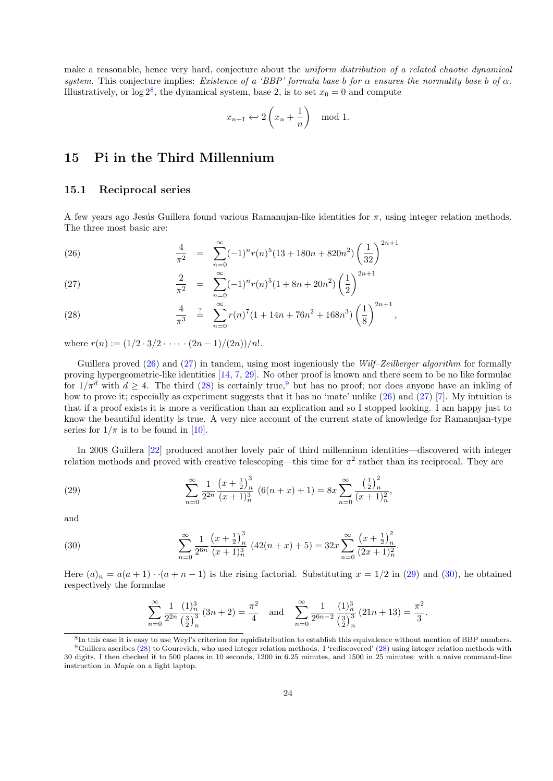make a reasonable, hence very hard, conjecture about the *uniform distribution of a related chaotic dynamical system.* This conjecture implies: *Existence of a 'BBP' formula base b for*  $\alpha$  *ensures the normality base b of*  $\alpha$ *.* Illustratively, or  $\log 2^8$ , the dynamical system, base 2, is to set  $x_0 = 0$  and compute

$$
x_{n+1} \leftrightarrow 2\left(x_n + \frac{1}{n}\right) \mod 1.
$$

# **15 Pi in the Third Millennium**

#### **15.1 Reciprocal series**

A few years ago Jesús Guillera found various Ramanujan-like identities for  $\pi$ , using integer relation methods. The three most basic are:

(26) 
$$
\frac{4}{\pi^2} = \sum_{n=0}^{\infty} (-1)^n r(n)^5 (13 + 180n + 820n^2) \left(\frac{1}{32}\right)^{2n+1}
$$

(27) 
$$
\frac{2}{\pi^2} = \sum_{n=0}^{\infty} (-1)^n r(n)^5 (1 + 8n + 20n^2) \left(\frac{1}{2}\right)^{2n+1}
$$

(28) 
$$
\frac{4}{\pi^3} \stackrel{?}{=} \sum_{n=0}^{\infty} r(n)^7 (1 + 14n + 76n^2 + 168n^3) \left(\frac{1}{8}\right)^{2n+1},
$$

where  $r(n) := (1/2 \cdot 3/2 \cdot \cdots \cdot (2n-1)/(2n))/n!$ .

Guillera proved (26) and (27) in tandem, using most ingeniously the *Wilf–Zeilberger algorithm* for formally proving hypergeometric-like identities [14, 7, 29]. No other proof is known and there seem to be no like formulae for  $1/\pi^d$  with  $d \geq 4$ . The third (28) is certainly true,<sup>9</sup> but has no proof; nor does anyone have an inkling of how to prove it; especially as experiment suggests that it has no 'mate' unlike  $(26)$  and  $(27)$  [7]. My intuition is that if a proof exists it is more a verification than an explication and so I stopped looking. I am happy just to know the beautiful identity is true. A very nice account of the current state of knowledge for Ramanujan-type series for  $1/\pi$  is to be found in [10].

In 2008 Guillera [22] produced another lovely pair of third millennium identities—discovered with integer relation methods and proved with creative telescoping—this time for  $\pi^2$  rather than its reciprocal. They are

(29) 
$$
\sum_{n=0}^{\infty} \frac{1}{2^{2n}} \frac{\left(x + \frac{1}{2}\right)_n^3}{\left(x + 1\right)_n^3} \left(6(n + x) + 1\right) = 8x \sum_{n=0}^{\infty} \frac{\left(\frac{1}{2}\right)_n^2}{\left(x + 1\right)_n^2},
$$

and

(30) 
$$
\sum_{n=0}^{\infty} \frac{1}{2^{6n}} \frac{\left(x + \frac{1}{2}\right)_n^3}{(x+1)_n^3} \left(42(n+x) + 5\right) = 32x \sum_{n=0}^{\infty} \frac{\left(x + \frac{1}{2}\right)_n^2}{(2x+1)_n^2}.
$$

Here  $(a)_n = a(a+1) \cdot (a+n-1)$  is the rising factorial. Substituting  $x = 1/2$  in (29) and (30), he obtained respectively the formulae

$$
\sum_{n=0}^{\infty} \frac{1}{2^{2n}} \frac{(1)_n^3}{\left(\frac{3}{2}\right)_n^3} (3n+2) = \frac{\pi^2}{4} \quad \text{and} \quad \sum_{n=0}^{\infty} \frac{1}{2^{6n-2}} \frac{(1)_n^3}{\left(\frac{3}{2}\right)_n^3} (21n+13) = \frac{\pi^2}{3}.
$$

<sup>8</sup> In this case it is easy to use Weyl's criterion for equidistribution to establish this equivalence without mention of BBP numbers. <sup>9</sup>Guillera ascribes (28) to Gourevich, who used integer relation methods. I 'rediscovered' (28) using integer relation methods with 30 digits. I then checked it to 500 places in 10 seconds, 1200 in 6.25 minutes, and 1500 in 25 minutes: with a naive command-line instruction in *Maple* on a light laptop.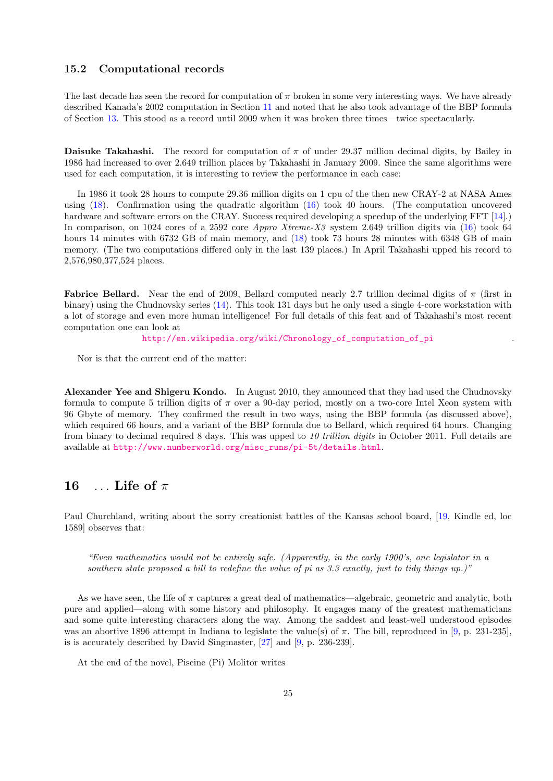#### **15.2 Computational records**

The last decade has seen the record for computation of  $\pi$  broken in some very interesting ways. We have already described Kanada's 2002 computation in Section 11 and noted that he also took advantage of the BBP formula of Section 13. This stood as a record until 2009 when it was broken three times—twice spectacularly.

**Daisuke Takahashi.** The record for computation of  $\pi$  of under 29.37 million decimal digits, by Bailey in 1986 had increased to over 2.649 trillion places by Takahashi in January 2009. Since the same algorithms were used for each computation, it is interesting to review the performance in each case:

In 1986 it took 28 hours to compute 29.36 million digits on 1 cpu of the then new CRAY-2 at NASA Ames using (18). Confirmation using the quadratic algorithm (16) took 40 hours. (The computation uncovered hardware and software errors on the CRAY. Success required developing a speedup of the underlying FFT [14].) In comparison, on 1024 cores of a 2592 core *Appro Xtreme-X3* system 2.649 trillion digits via (16) took 64 hours 14 minutes with 6732 GB of main memory, and (18) took 73 hours 28 minutes with 6348 GB of main memory. (The two computations differed only in the last 139 places.) In April Takahashi upped his record to 2,576,980,377,524 places.

**Fabrice Bellard.** Near the end of 2009, Bellard computed nearly 2.7 trillion decimal digits of *π* (first in binary) using the Chudnovsky series (14). This took 131 days but he only used a single 4-core workstation with a lot of storage and even more human intelligence! For full details of this feat and of Takahashi's most recent computation one can look at

http://en.wikipedia.org/wiki/Chronology\_of\_computation\_of\_pi .

Nor is that the current end of the matter:

**Alexander Yee and Shigeru Kondo.** In August 2010, they announced that they had used the Chudnovsky formula to compute 5 trillion digits of *π* over a 90-day period, mostly on a two-core Intel Xeon system with 96 Gbyte of memory. They confirmed the result in two ways, using the BBP formula (as discussed above), which required 66 hours, and a variant of the BBP formula due to Bellard, which required 64 hours. Changing from binary to decimal required 8 days. This was upped to *10 trillion digits* in October 2011. Full details are available at http://www.numberworld.org/misc\_runs/pi-5t/details.html.

#### **16**  $\ldots$  **Life of**  $\pi$

Paul Churchland, writing about the sorry creationist battles of the Kansas school board, [19, Kindle ed, loc 1589] observes that:

*"Even mathematics would not be entirely safe. (Apparently, in the early 1900's, one legislator in a southern state proposed a bill to redefine the value of pi as 3.3 exactly, just to tidy things up.)"*

As we have seen, the life of *π* captures a great deal of mathematics—algebraic, geometric and analytic, both pure and applied—along with some history and philosophy. It engages many of the greatest mathematicians and some quite interesting characters along the way. Among the saddest and least-well understood episodes was an abortive 1896 attempt in Indiana to legislate the value(s) of  $\pi$ . The bill, reproduced in [9, p. 231-235], is is accurately described by David Singmaster, [27] and [9, p. 236-239].

At the end of the novel, Piscine (Pi) Molitor writes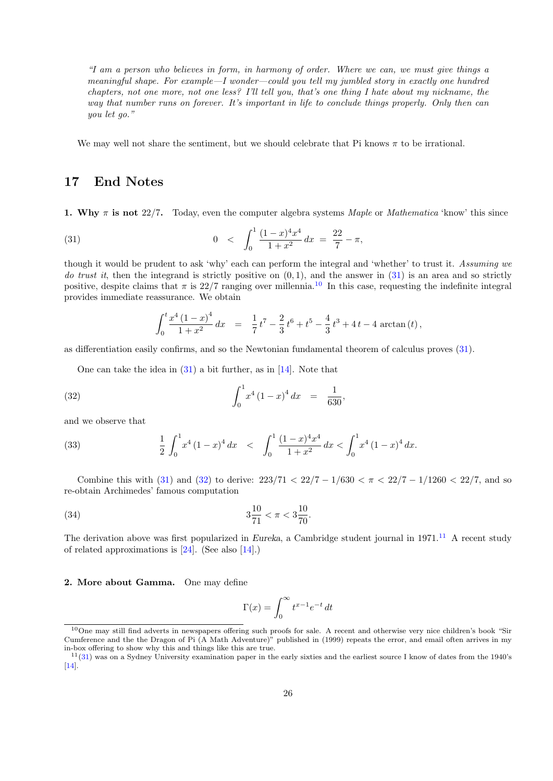*"I am a person who believes in form, in harmony of order. Where we can, we must give things a meaningful shape. For example—I wonder—could you tell my jumbled story in exactly one hundred chapters, not one more, not one less? I'll tell you, that's one thing I hate about my nickname, the way that number runs on forever. It's important in life to conclude things properly. Only then can you let go."*

We may well not share the sentiment, but we should celebrate that Pi knows *π* to be irrational.

### **17 End Notes**

**1. Why** *π* **is not** 22*/*7**.** Today, even the computer algebra systems *Maple* or *Mathematica* 'know' this since

(31) 
$$
0 < \int_0^1 \frac{(1-x)^4 x^4}{1+x^2} dx = \frac{22}{7} - \pi,
$$

though it would be prudent to ask 'why' each can perform the integral and 'whether' to trust it. *Assuming we do trust it*, then the integrand is strictly positive on (0*,* 1), and the answer in (31) is an area and so strictly positive, despite claims that  $\pi$  is 22/7 ranging over millennia.<sup>10</sup> In this case, requesting the indefinite integral provides immediate reassurance. We obtain

$$
\int_0^t \frac{x^4 (1-x)^4}{1+x^2} dx = \frac{1}{7}t^7 - \frac{2}{3}t^6 + t^5 - \frac{4}{3}t^3 + 4t - 4 \arctan(t),
$$

as differentiation easily confirms, and so the Newtonian fundamental theorem of calculus proves (31).

One can take the idea in  $(31)$  a bit further, as in  $[14]$ . Note that

(32) 
$$
\int_0^1 x^4 (1-x)^4 dx = \frac{1}{630},
$$

and we observe that

(33) 
$$
\frac{1}{2} \int_0^1 x^4 (1-x)^4 dx < \int_0^1 \frac{(1-x)^4 x^4}{1+x^2} dx < \int_0^1 x^4 (1-x)^4 dx.
$$

Combine this with (31) and (32) to derive:  $223/71 < 22/7 - 1/630 < \pi < 22/7 - 1/1260 < 22/7$ , and so re-obtain Archimedes' famous computation

(34) 
$$
3\frac{10}{71} < \pi < 3\frac{10}{70}.
$$

The derivation above was first popularized in *Eureka*, a Cambridge student journal in 1971.<sup>11</sup> A recent study of related approximations is [24]. (See also [14].)

#### **2. More about Gamma.** One may define

$$
\Gamma(x) = \int_0^\infty t^{x-1} e^{-t} dt
$$

<sup>10</sup>One may still find adverts in newspapers offering such proofs for sale. A recent and otherwise very nice children's book "Sir Cumference and the the Dragon of Pi (A Math Adventure)" published in (1999) repeats the error, and email often arrives in my in-box offering to show why this and things like this are true.

 $11(31)$  was on a Sydney University examination paper in the early sixties and the earliest source I know of dates from the 1940's [14].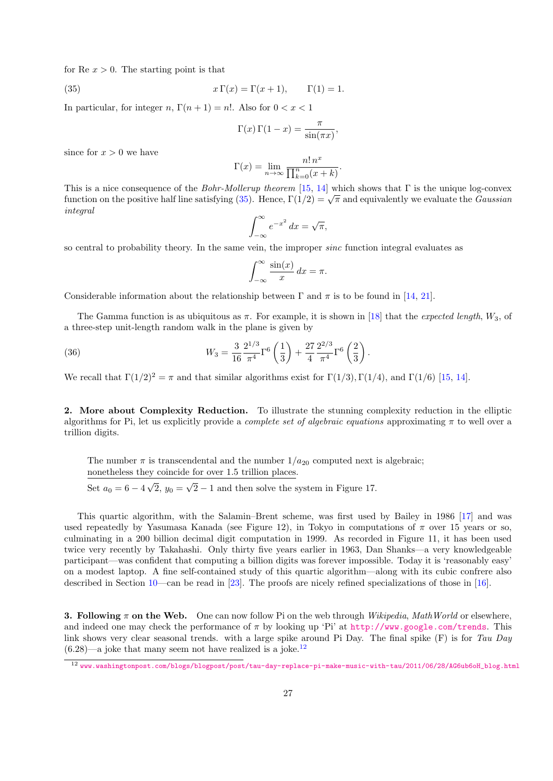for Re  $x > 0$ . The starting point is that

(35) 
$$
x \Gamma(x) = \Gamma(x+1), \qquad \Gamma(1) = 1.
$$

In particular, for integer *n*,  $\Gamma(n+1) = n!$ . Also for  $0 < x < 1$ 

$$
\Gamma(x)\,\Gamma(1-x) = \frac{\pi}{\sin(\pi x)},
$$

since for  $x > 0$  we have

$$
\Gamma(x) = \lim_{n \to \infty} \frac{n! \, n^x}{\prod_{k=0}^n (x+k)}.
$$

This is a nice consequence of the *Bohr-Mollerup theorem* [15, 14] which shows that Γ is the unique log-convex function on the positive half line satisfying (35). Hence,  $\Gamma(1/2) = \sqrt{\pi}$  and equivalently we evaluate the *Gaussian integral*

$$
\int_{-\infty}^{\infty} e^{-x^2} \, dx = \sqrt{\pi},
$$

so central to probability theory. In the same vein, the improper *sinc* function integral evaluates as

$$
\int_{-\infty}^{\infty} \frac{\sin(x)}{x} \, dx = \pi.
$$

Considerable information about the relationship between  $\Gamma$  and  $\pi$  is to be found in [14, 21].

The Gamma function is as ubiquitous as  $\pi$ . For example, it is shown in [18] that the *expected length*,  $W_3$ , of a three-step unit-length random walk in the plane is given by

(36) 
$$
W_3 = \frac{3}{16} \frac{2^{1/3}}{\pi^4} \Gamma^6 \left(\frac{1}{3}\right) + \frac{27}{4} \frac{2^{2/3}}{\pi^4} \Gamma^6 \left(\frac{2}{3}\right).
$$

We recall that  $\Gamma(1/2)^2 = \pi$  and that similar algorithms exist for  $\Gamma(1/3)$ ,  $\Gamma(1/4)$ *,* and  $\Gamma(1/6)$  [15, 14].

**2. More about Complexity Reduction.** To illustrate the stunning complexity reduction in the elliptic algorithms for Pi, let us explicitly provide a *complete set of algebraic equations* approximating *π* to well over a trillion digits.

The number  $\pi$  is transcendental and the number  $1/a_{20}$  computed next is algebraic; nonetheless they coincide for over 1.5 trillion places.

Set  $a_0 = 6 - 4\sqrt{2}$ ,  $y_0 = \sqrt{2} - 1$  and then solve the system in Figure 17.

This quartic algorithm, with the Salamin–Brent scheme, was first used by Bailey in 1986 [17] and was used repeatedly by Yasumasa Kanada (see Figure 12), in Tokyo in computations of  $\pi$  over 15 years or so, culminating in a 200 billion decimal digit computation in 1999. As recorded in Figure 11, it has been used twice very recently by Takahashi. Only thirty five years earlier in 1963, Dan Shanks—a very knowledgeable participant—was confident that computing a billion digits was forever impossible. Today it is 'reasonably easy' on a modest laptop. A fine self-contained study of this quartic algorithm—along with its cubic confrere also described in Section 10—can be read in [23]. The proofs are nicely refined specializations of those in [16].

**3. Following** *π* **on the Web.** One can now follow Pi on the web through *Wikipedia*, *MathWorld* or elsewhere, and indeed one may check the performance of *π* by looking up 'Pi' at http://www.google.com/trends. This link shows very clear seasonal trends. with a large spike around Pi Day. The final spike (F) is for *Tau Day*  $(6.28)$ —a joke that many seem not have realized is a joke.<sup>12</sup>

<sup>12</sup> www.washingtonpost.com/blogs/blogpost/post/tau-day-replace-pi-make-music-with-tau/2011/06/28/AG6ub6oH\_blog.html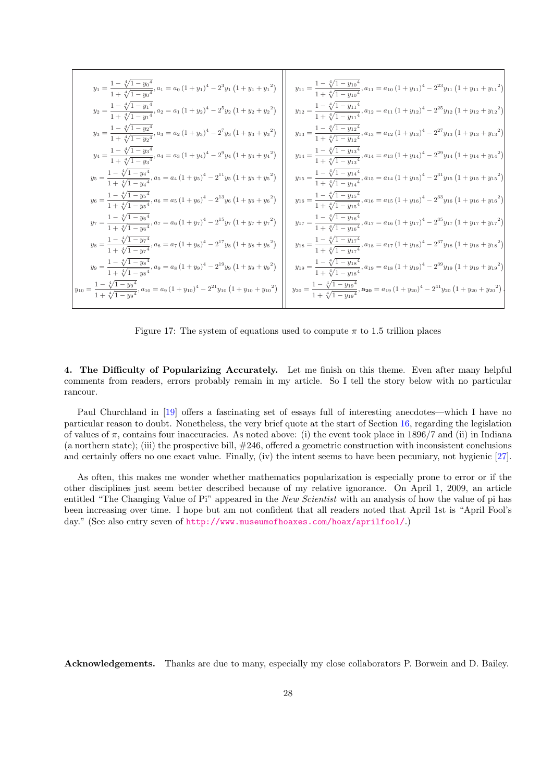$$
y_{1} = \frac{1 - \sqrt[4]{1 - y_{0}^{4}}}{1 + \sqrt[4]{1 - y_{0}^{4}}}, a_{1} = a_{0} (1 + y_{1})^{4} - 2^{3} y_{1} (1 + y_{1} + y_{1}^{2})
$$
\n
$$
y_{2} = \frac{1 - \sqrt[4]{1 - y_{1}^{4}}}{1 + \sqrt[4]{1 - y_{1}^{4}}}, a_{2} = a_{1} (1 + y_{2})^{4} - 2^{5} y_{2} (1 + y_{2} + y_{2}^{2})
$$
\n
$$
y_{3} = \frac{1 - \sqrt[4]{1 - y_{1}^{4}}}{1 + \sqrt[4]{1 - y_{2}^{4}}}, a_{3} = a_{2} (1 + y_{3})^{4} - 2^{7} y_{3} (1 + y_{3} + y_{3}^{2})
$$
\n
$$
y_{4} = \frac{1 - \sqrt[4]{1 - y_{1}^{4}}}{1 + \sqrt[4]{1 - y_{2}^{4}}}, a_{4} = a_{3} (1 + y_{3})^{4} - 2^{7} y_{3} (1 + y_{3} + y_{3}^{2})
$$
\n
$$
y_{5} = \frac{1 - \sqrt[4]{1 - y_{2}^{4}}}{1 + \sqrt[4]{1 - y_{3}^{4}}}, a_{5} = a_{4} (1 + y_{5})^{4} - 2^{11} y_{5} (1 + y_{5} + y_{5}^{2})
$$
\n
$$
y_{6} = \frac{1 - \sqrt[4]{1 - y_{2}^{4}}}{1 + \sqrt[4]{1 - y_{3}^{4}}}, a_{5} = a_{4} (1 + y_{5})^{4} - 2^{11} y_{5} (1 + y_{5} + y_{5}^{2})
$$
\n
$$
y_{7} = \frac{1 - \sqrt[4]{1 - y_{1}^{4}}}{1 + \sqrt[4]{1 - y_{3}^{4}}}, a_{5} = a_{5} (1 + y_{6})^{4} - 2^{13} y_{6} (1 + y_{6} + y_{6}^{2})
$$
\n
$$
y_{8} = \frac{1 - \sqrt[4]{1 - y_{1}^{4}}}{1 + \sqrt[4]{1 - y_{6}^{4}}}, a_{6} = a_{5} (1 + y_{6})^{4} - 2^{13} y_{6} (1 + y_{5} + y_{5}
$$

Figure 17: The system of equations used to compute  $\pi$  to 1.5 trillion places

**4. The Difficulty of Popularizing Accurately.** Let me finish on this theme. Even after many helpful comments from readers, errors probably remain in my article. So I tell the story below with no particular rancour.

Paul Churchland in [19] offers a fascinating set of essays full of interesting anecdotes—which I have no particular reason to doubt. Nonetheless, the very brief quote at the start of Section 16, regarding the legislation of values of  $\pi$ , contains four inaccuracies. As noted above: (i) the event took place in 1896/7 and (ii) in Indiana (a northern state); (iii) the prospective bill, #246, offered a geometric construction with inconsistent conclusions and certainly offers no one exact value. Finally, (iv) the intent seems to have been pecuniary, not hygienic [27].

As often, this makes me wonder whether mathematics popularization is especially prone to error or if the other disciplines just seem better described because of my relative ignorance. On April 1, 2009, an article entitled "The Changing Value of Pi" appeared in the *New Scientist* with an analysis of how the value of pi has been increasing over time. I hope but am not confident that all readers noted that April 1st is "April Fool's day." (See also entry seven of http://www.museumofhoaxes.com/hoax/aprilfool/.)

**Acknowledgements.** Thanks are due to many, especially my close collaborators P. Borwein and D. Bailey.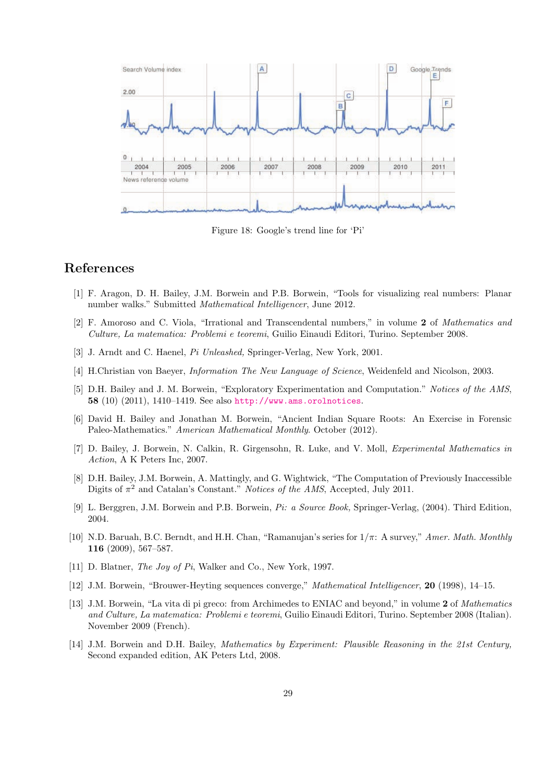

Figure 18: Google's trend line for 'Pi'

#### **References**

- [1] F. Aragon, D. H. Bailey, J.M. Borwein and P.B. Borwein, "Tools for visualizing real numbers: Planar number walks." Submitted *Mathematical Intelligencer*, June 2012.
- [2] F. Amoroso and C. Viola, "Irrational and Transcendental numbers," in volume **2** of *Mathematics and Culture, La matematica: Problemi e teoremi*, Guilio Einaudi Editori, Turino. September 2008.
- [3] J. Arndt and C. Haenel, *Pi Unleashed,* Springer-Verlag, New York, 2001.
- [4] H.Christian von Baeyer, *Information The New Language of Science*, Weidenfeld and Nicolson, 2003.
- [5] D.H. Bailey and J. M. Borwein, "Exploratory Experimentation and Computation." *Notices of the AMS*, **58** (10) (2011), 1410–1419. See also http://www.ams.orolnotices.
- [6] David H. Bailey and Jonathan M. Borwein, "Ancient Indian Square Roots: An Exercise in Forensic Paleo-Mathematics." *American Mathematical Monthly*. October (2012).
- [7] D. Bailey, J. Borwein, N. Calkin, R. Girgensohn, R. Luke, and V. Moll, *Experimental Mathematics in Action*, A K Peters Inc, 2007.
- [8] D.H. Bailey, J.M. Borwein, A. Mattingly, and G. Wightwick, "The Computation of Previously Inaccessible Digits of *π* <sup>2</sup> and Catalan's Constant." *Notices of the AMS*, Accepted, July 2011.
- [9] L. Berggren, J.M. Borwein and P.B. Borwein, *Pi: a Source Book,* Springer-Verlag, (2004). Third Edition, 2004.
- [10] N.D. Baruah, B.C. Berndt, and H.H. Chan, "Ramanujan's series for 1*/π*: A survey," *Amer. Math. Monthly* **116** (2009), 567–587.
- [11] D. Blatner, *The Joy of Pi*, Walker and Co., New York, 1997.
- [12] J.M. Borwein, "Brouwer-Heyting sequences converge," *Mathematical Intelligencer*, **20** (1998), 14–15.
- [13] J.M. Borwein, "La vita di pi greco: from Archimedes to ENIAC and beyond," in volume **2** of *Mathematics and Culture, La matematica: Problemi e teoremi*, Guilio Einaudi Editori, Turino. September 2008 (Italian). November 2009 (French).
- [14] J.M. Borwein and D.H. Bailey, *Mathematics by Experiment: Plausible Reasoning in the 21st Century,* Second expanded edition, AK Peters Ltd, 2008.